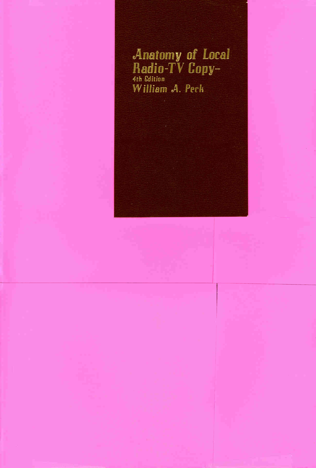## **Anatomy of Local** Radio-TV Copy-4th Edition William A. Peck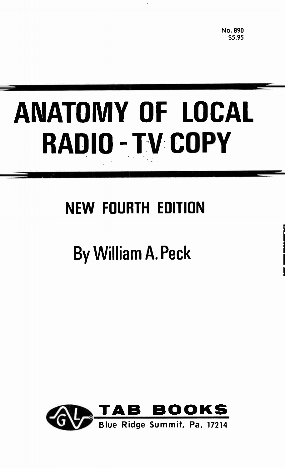No. 890 \$5.95

# ANATOMY OF LOCAL RADIO - TV COPY

## NEW FOURTH EDITION

## By William A. Peck

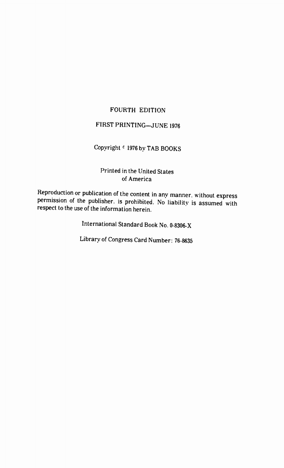#### FOURTH EDITION

#### FIRST PRINTING—JUNE 1976

#### Copyright <sup>e</sup> 1976 by TAB BOOKS

#### Printed in the United States of America

Reproduction or publication of the content in any manner, without express permission of the publisher, is prohibited. No liability is assumed with respect to the use of the information herein.

International Standard Book No. 0-8306-X

Library of Congress Card Number: 76-8635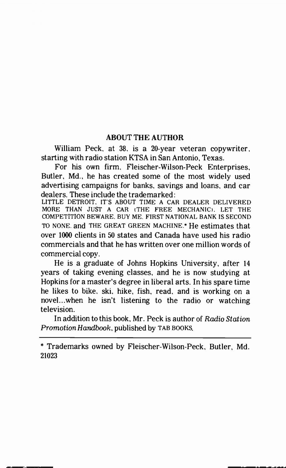#### ABOUT THE AUTHOR

William Peck, at 38, is a 20-year veteran copywriter, starting with radio station KTSA in San Antonio, Texas.

For his own firm, Fleischer-Wilson-Peck Enterprises, Butler, Md., he has created some of the most widely used advertising campaigns for banks, savings and loans, and car dealers. These include the trademarked:

LITTLE DETROIT. ITS ABOUT TIME A CAR DEALER DELIVERED MORE THAN JUST A CAR (THE FREE MECHANIC). LET THE COMPETITION BEWARE. BUY ME. FIRST NATIONAL BANK IS SECOND TO NONE. and THE GREAT GREEN MACHINE.<sup>\*</sup> He estimates that over 1000 clients in 50 states and Canada have used his radio commercials and that he has written over one million words of commercial copy.

He is a graduate of Johns Hopkins University, after 14 years of taking evening classes, and he is now studying at Hopkins for a master's degree in liberal arts. In his spare time he likes to bike, ski, hike, fish, read, and is working on a novel...when he isn't listening to the radio or watching television.

In addition to this book, Mr. Peck is author of Radio Station Promotion Handbook, published by TAB BOOKS.

\* Trademarks owned by Fleischer-Wilson-Peck, Butler, Md. 21023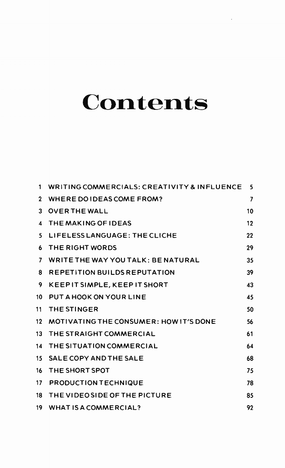## **Contents**

| 1              | WRITING COMMERCIALS: CREATIVITY & INFLUENCE | 5  |  |
|----------------|---------------------------------------------|----|--|
| $\mathbf{2}$   | WHERE DO IDEAS COME FROM?                   | 7  |  |
| 3              | <b>OVER THE WALL</b>                        | 10 |  |
| 4              | THE MAKING OF IDEAS                         | 12 |  |
| 5.             | LIFELESS LANGUAGE: THE CLICHE               | 22 |  |
| 6              | THE RIGHT WORDS                             | 29 |  |
| $\overline{ }$ | WRITE THE WAY YOU TALK: BE NATURAL          | 35 |  |
| 8              | <b>REPETITION BUILDS REPUTATION</b>         | 39 |  |
| 9              | KEEPIT SIMPLE, KEEP IT SHORT                | 43 |  |
| 10             | PUT A HOOK ON YOUR LINE                     | 45 |  |
| 11             | <b>THE STINGER</b>                          | 50 |  |
| 12.            | MOTIVATING THE CONSUMER: HOW IT'S DONE      | 56 |  |
| 13             | THE STRAIGHT COMMERCIAL                     | 61 |  |
| 14             | THE SITUATION COMMERCIAL                    | 64 |  |
| 15             | SALE COPY AND THE SALE                      | 68 |  |
| 16             | THE SHORT SPOT                              | 75 |  |
| 17.            | <b>PRODUCTION TECHNIQUE</b>                 | 78 |  |
| 18             | THE VIDEO SIDE OF THE PICTURE               | 85 |  |
| 19.            | WHAT IS A COMMERCIAL?                       | 92 |  |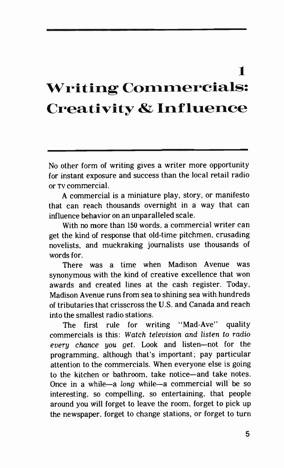### 1 Writing Commercials: Creativity & Influence

No other form of writing gives a writer more opportunity for instant exposure and success than the local retail radio or TV commercial.

A commercial is a miniature play, story, or manifesto that can reach thousands overnight in a way that can influence behavior on an unparalleled scale.

With no more than 150 words, a commercial writer can get the kind of response that old-time pitchmen, crusading novelists, and muckraking journalists use thousands of words for.

There was a time when Madison Avenue was synonymous with the kind of creative excellence that won awards and created lines at the cash register. Today, Madison Avenue runs from sea to shining sea with hundreds of tributaries that crisscross the U.S. and Canada and reach into the smallest radio stations.

The first rule for writing "Mad-Ave" quality commercials is this: Watch television and listen to radio every chance you get. Look and listen—not for the programming, although that's important; pay particular attention to the commercials. When everyone else is going to the kitchen or bathroom, take notice—and take notes. Once in a while—a long while—a commercial will be so interesting, so compelling, so entertaining, that people around you will forget to leave the room, forget to pick up the newspaper, forget to change stations, or forget to turn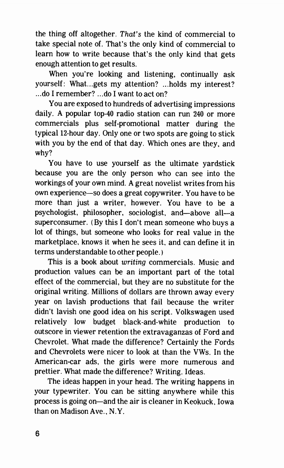the thing off altogether. That's the kind of commercial to take special note of. That's the only kind of commercial to learn how to write because that's the only kind that gets enough attention to get results.

When you're looking and listening, continually ask yourself: What...gets my attention? ...holds my interest? ...do I remember? ...do I want to act on?

You are exposed to hundreds of advertising impressions daily. A popular top-40 radio station can run 240 or more commercials plus self-promotional matter during the typical 12-hour day. Only one or two spots are going to stick with you by the end of that day. Which ones are they, and why?

You have to use yourself as the ultimate yardstick because you are the only person who can see into the workings of your own mind. A great novelist writes from his own experience—so does a great copywriter. You have to be more than just a writer, however. You have to be a psychologist, philosopher, sociologist, and—above all—a superconsumer. (By this I don't mean someone who buys a lot of things, but someone who looks for real value in the marketplace, knows it when he sees it, and can define it in terms understandable to other people.)

This is a book about writing commercials. Music and production values can be an important part of the total effect of the commercial, but they are no substitute for the original writing. Millions of dollars are thrown away every year on lavish productions that fail because the writer didn't lavish one good idea on his script. Volkswagen used relatively low budget black-and-white production to outscore in viewer retention the extravaganzas of Ford and Chevrolet. What made the difference? Certainly the Fords and Chevrolets were nicer to look at than the VWs. In the American-car ads, the girls were more numerous and prettier. What made the difference? Writing. Ideas.

The ideas happen in your head. The writing happens in your typewriter. You can be sitting anywhere while this process is going on—and the air is cleaner in Keokuck, Iowa than on Madison Ave., N.Y.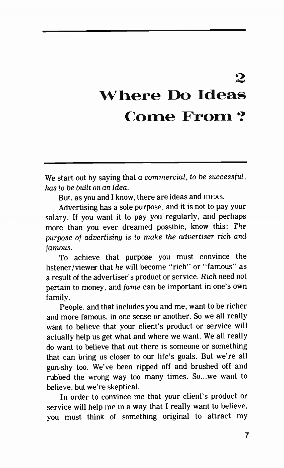## $\mathbf{Q}$ Where Do Ideas Come From ?

We start out by saying that a commercial, to be successful, has to be built on an Idea.

But, as you and I know, there are ideas and IDEAS.

Advertising has a sole purpose, and it is not to pay your salary. If you want it to pay you regularly, and perhaps more than you ever dreamed possible, know this: The purpose of advertising is to make the advertiser rich and famous.

To achieve that purpose you must convince the listener/viewer that he will become "rich" or "famous" as a result of the advertiser's product or service. Rich need not pertain to money, and fame can be important in one's own family.

People, and that includes you and me, want to be richer and more famous, in one sense or another. So we all really want to believe that your client's product or service will actually help us get what and where we want. We all really do want to believe that out there is someone or something that can bring us closer to our life's goals. But we're all gun-shy too. We've been ripped off and brushed off and rubbed the wrong way too many times. So...we want to believe, but we're skeptical.

In order to convince me that your client's product or service will help me in a way that I really want to believe, you must think of something original to attract my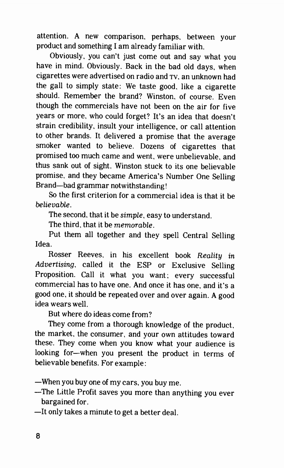attention. A new comparison, perhaps, between your product and something I am already familiar with.

Obviously, you can't just come out and say what you have in mind. Obviously. Back in the bad old days, when cigarettes were advertised on radio and TV, an unknown had the gall to simply state: We taste good, like a cigarette should. Remember the brand? Winston, of course. Even though the commercials have not been on the air for five years or more, who could forget? It's an idea that doesn't strain credibility, insult your intelligence, or call attention to other brands. It delivered a promise that the average smoker wanted to believe. Dozens of cigarettes that promised too much came and went, were unbelievable, and thus sank out of sight. Winston stuck to its one believable promise, and they became America's Number One Selling Brand—bad grammar notwithstanding!

So the first criterion for a commercial idea is that it be believable.

The second, that it be simple, easy to understand.

The third, that it be memorable.

Put them all together and they spell Central Selling Idea.

Rosser Reeves, in his excellent book Reality in Advertising, called it the ESP or Exclusive Selling Proposition. Call it what you want; every successful commercial has to have one. And once it has one, and it's a good one, it should be repeated over and over again. A good idea wears well.

But where do ideas come from?

They come from a thorough knowledge of the product. the market, the consumer, and your own attitudes toward these. They come when you know what your audience is looking for—when you present the product in terms of believable benefits. For example:

—When you buy one of my cars, you buy me.

—The Little Profit saves you more than anything you ever bargained for.

—It only takes a minute to get a better deal.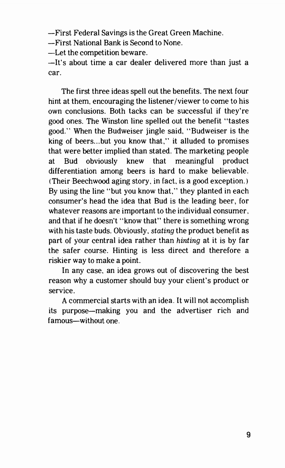—First Federal Savings is the Great Green Machine.

—First National Bank is Second to None.

—Let the competition beware.

—It's about time a car dealer delivered more than just a car.

The first three ideas spell out the benefits. The next four hint at them, encouraging the listener/viewer to come to his own conclusions. Both tacks can be successful if they're good ones. The Winston line spelled out the benefit "tastes good." When the Budweiser jingle said, "Budweiser is the king of beers...but you know that," it alluded to promises that were better implied than stated. The marketing people at Bud obviously knew that meaningful product differentiation among beers is hard to make believable. (Their Beechwood aging story, in fact, is a good exception.) By using the line "but you know that," they planted in each consumer's head the idea that Bud is the leading beer, for whatever reasons are important to the individual consumer, and that if he doesn't "know that" there is something wrong with his taste buds. Obviously, *stating* the product benefit as part of your central idea rather than hinting at it is by far the safer course. Hinting is less direct and therefore a riskier way to make a point.

In any case, an idea grows out of discovering the best reason why a customer should buy your client's product or service.

A commercial starts with an idea. It will not accomplish its purpose—making you and the advertiser rich and famous—without one.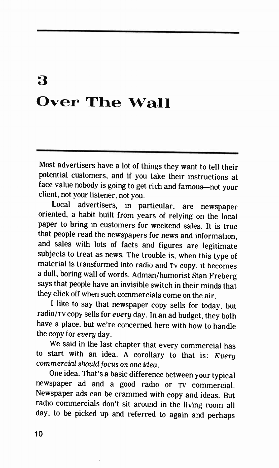## 3 Over The Wall

Most advertisers have a lot of things they want to tell their potential customers, and if you take their instructions at face value nobody is going to get rich and famous—not your client, not your listener, not you.

Local advertisers, in particular, are newspaper oriented, a habit built from years of relying on the local paper to bring in customers for weekend sales. It is true that people read the newspapers for news and information, and sales with lots of facts and figures are legitimate subjects to treat as news. The trouble is, when this type of material is transformed into radio and TV copy, it becomes a dull, boring wall of words. Adman/humorist Stan Freberg says that people have an invisible switch in their minds that they click off when such commercials come on the air.

I like to say that newspaper copy sells for today, but radio/Tv copy sells for every day. In an ad budget, they both have a place, but we're concerned here with how to handle the copy for every day.

We said in the last chapter that every commercial has to start with an idea. A corollary to that is:  $Every$ commercial should focus on one idea.

One idea. That's a basic difference between your typical newspaper ad and a good radio or TV commercial. Newspaper ads can be crammed with copy and ideas. But radio commercials don't sit around in the living room all day, to be picked up and referred to again and perhaps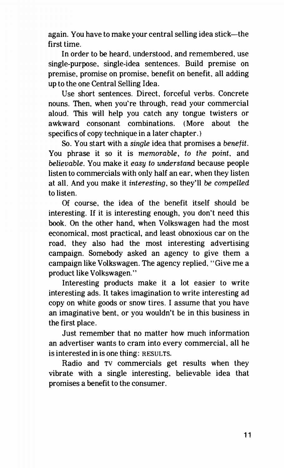again. You have to make your central selling idea stick—the first time.

In order to be heard, understood, and remembered, use single-purpose, single-idea sentences. Build premise on premise, promise on promise, benefit on benefit, all adding up to the one Central Selling Idea.

Use short sentences. Direct, forceful verbs. Concrete nouns. Then, when you're through, read your commercial aloud. This will help you catch any tongue twisters or awkward consonant combinations. (More about the specifics of copy technique in a later chapter. )

So. You start with a single idea that promises a benefit. You phrase it so it is memorable, to the point, and believable. You make it easy to understand because people listen to commercials with only half an ear, when they listen at all. And you make it interesting, so they'll be compelled to listen.

Of course, the idea of the benefit itself should be interesting. If it is interesting enough, you don't need this book. On the other hand, when Volkswagen had the most economical, most practical, and least obnoxious car on the road, they also had the most interesting advertising campaign. Somebody asked an agency to give them a campaign like Volkswagen. The agency replied, "Give me a product like Volkswagen."

Interesting products make it a lot easier to write interesting ads. It takes imagination to write interesting ad copy on white goods or snow tires. I assume that you have an imaginative bent, or you wouldn't be in this business in the first place.

Just remember that no matter how much information an advertiser wants to cram into every commercial, all he is interested in is one thing: RESULTS.

Radio and TV commercials get results when they vibrate with a single interesting, believable idea that promises a benefit to the consumer.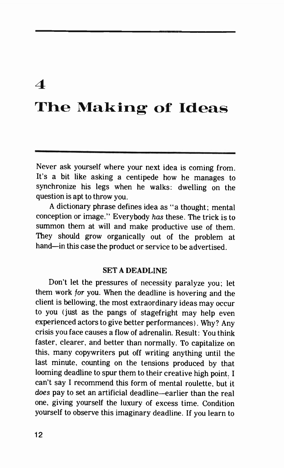#### 4

### The Making of Ideas

Never ask yourself where your next idea is coming from. It's a bit like asking a centipede how he manages to synchronize his legs when he walks: dwelling on the question is apt to throw you.

A dictionary phrase defines idea as "a thought; mental conception or image." Everybody has these. The trick is to summon them at will and make productive use of them. They should grow organically out of the problem at hand—in this case the product or service to be advertised.

#### SET A DEADLINE

Don't let the pressures of necessity paralyze you; let them work for you. When the deadline is hovering and the client is bellowing, the most extraordinary ideas may occur to you (just as the pangs of stagefright may help even experienced actors to give better performances). Why? Any crisis you face causes a flow of adrenalin. Result: You think faster, clearer, and better than normally. To capitalize on this, many copywriters put off writing anything until the last minute, counting on the tensions produced by that looming deadline to spur them to their creative high point. I can't say I recommend this form of mental roulette, but it does pay to set an artificial deadline—earlier than the real one, giving yourself the luxury of excess time. Condition yourself to observe this imaginary deadline. If you learn to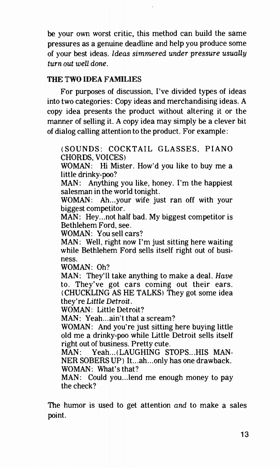be your own worst critic, this method can build the same pressures as a genuine deadline and help you produce some of your best ideas. Ideas simmered under pressure usually turn out well done.

#### THE TWO IDEA FAMILIES

For purposes of discussion, I've divided types of ideas into two categories: Copy ideas and merchandising ideas. A copy idea presents the product without altering it or the manner of selling it. A copy idea may simply be a clever bit of dialog calling attention to the product. For example:

(SOUNDS: COCKTAIL GLASSES, PIANO CHORDS, VOICES)

WOMAN: Hi Mister. How'd you like to buy me a little drinky-poo?

MAN: Anything you like, honey. I'm the happiest salesman in the world tonight.

WOMAN: Ah...your wife just ran off with your biggest competitor.

MAN: Hey...not half bad. My biggest competitor is Bethlehem Ford, see.

WOMAN: You sell cars?

MAN: Well, right now I'm just sitting here waiting while Bethlehem Ford sells itself right out of business.

WOMAN: Oh?

MAN: They'll take anything to make a deal. Have to. They've got cars coming out their ears. (CHUCKLING AS HE TALKS) They got some idea they're Little Detroit.

WOMAN: Little Detroit?

MAN: Yeah...ain't that a scream?

WOMAN: And you're just sitting here buying little old me a drinky-poo while Little Detroit sells itself right out of business. Pretty cute.

MAN: Yeah...(LAUGHING STOPS...HIS MAN-NER SOBERS UP) It...ah...only has one drawback. WOMAN: What's that?

MAN: Could you...lend me enough money to pay the check?

The humor is used to get attention and to make a sales point.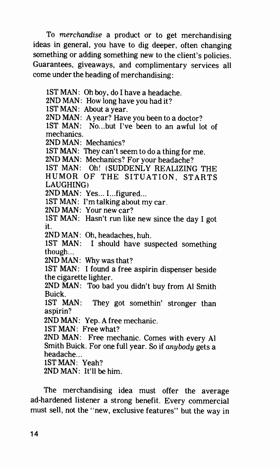To merchandise a product or to get merchandising ideas in general, you have to dig deeper, often changing something or adding something new to the client's policies. Guarantees, giveaways, and complimentary services all come under the heading of merchandising:

1ST MAN: Oh boy, do I have a headache. 2ND MAN: How long have you had it? 1ST MAN: About a year. 2ND MAN: A year? Have you been to a doctor? 1ST MAN: No...but I've been to an awful lot of mechanics. 2ND MAN: Mechanics? 1ST MAN: They can't seem to do a thing for me. 2ND MAN: Mechanics? For your headache? 1ST MAN: Oh! (SUDDENLY REALIZING THE HUMOR OF THE SITUATION, STARTS LAUGHING) 2ND MAN: Yes... I.. .figured... 1ST MAN: I'm talking about my car. 2ND MAN: Your new car? 1ST MAN: Hasn't run like new since the day I got it. 2ND MAN: Oh, headaches, huh. 1ST MAN: I should have suspected something though... 2ND MAN: Why was that? 1ST MAN: I found a free aspirin dispenser beside the cigarette lighter. 2ND MAN: Too bad you didn't buy from Al Smith Buick. 1ST MAN: They got somethin' stronger than aspirin? 2ND MAN: Yep. A free mechanic. 1ST MAN: Free what? 2ND MAN: Free mechanic. Comes with every Al Smith Buick. For one full year. So if anybody gets a headache... 1ST MAN: Yeah? 2ND MAN: It'll be him.

The merchandising idea must offer the average ad-hardened listener a strong benefit. Every commercial must sell, not the "new, exclusive features" but the way in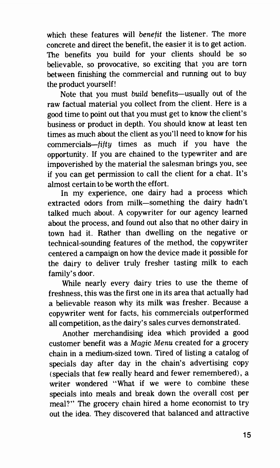which these features will benefit the listener. The more concrete and direct the benefit, the easier it is to get action. The benefits you build for your clients should be so believable, so provocative, so exciting that you are torn between finishing the commercial and running out to buy the product yourself!

Note that you must build benefits—usually out of the raw factual material you collect from the client. Here is a good time to point out that you must get to know the client's business or product in depth. You should know at least ten times as much about the client as you'll need to know for his commercials—fifty times as much if you have the opportunity. If you are chained to the typewriter and are impoverished by the material the salesman brings you, see if you can get permission to call the client for a chat. It's almost certain to be worth the effort.

In my experience, one dairy had a process which extracted odors from milk—something the dairy hadn't talked much about. A copywriter for our agency learned about the process, and found out also that no other dairy in town had it. Rather than dwelling on the negative or technical-sounding features of the method, the copywriter centered a campaign on how the device made it possible for the dairy to deliver truly fresher tasting milk to each family's door.

While nearly every dairy tries to use the theme of freshness, this was the first one in its area that actually had a believable reason why its milk was fresher. Because a copywriter went for facts, his commercials outperformed all competition, as the dairy's sales curves demonstrated.

Another merchandising idea which provided a good customer benefit was a Magic Menu created for a grocery chain in a medium-sized town. Tired of listing a catalog of specials day after day in the chain's advertising copy (specials that few really heard and fewer remembered) , a writer wondered "What if we were to combine these specials into meals and break down the overall cost per meal?" The grocery chain hired a home economist to try out the idea. They discovered that balanced and attractive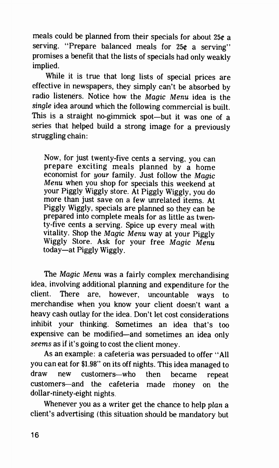meals could be planned from their specials for about 25¢ a serving. "Prepare balanced meals for  $25¢$  a serving" promises a benefit that the lists of specials had only weakly implied.

While it is true that long lists of special prices are effective in newspapers, they simply can't be absorbed by radio listeners. Notice how the Magic Menu idea is the single idea around which the following commercial is built. This is a straight no-gimmick spot—but it was one of a series that helped build a strong image for a previously struggling chain:

Now, for just twenty-five cents a serving, you can prepare exciting meals planned by a home economist for your family. Just follow the Magic Menu when you shop for specials this weekend at your Piggly Wiggly store. At Piggly Wiggly, you do more than just save on a few unrelated items. At Piggly Wiggly, specials are planned so they can be prepared into complete meals for as little as twenty-five cents a serving. Spice up every meal with vitality. Shop the Magic Menu way at your Piggly Wiggly Store. Ask for your free Magic Menu today—at Piggly Wiggly.

The Magic Menu was a fairly complex merchandising idea, involving additional planning and expenditure for the client. There are, however, uncountable ways to merchandise when you know your client doesn't want a heavy cash outlay for the idea. Don't let cost considerations inhibit your thinking. Sometimes an idea that's too expensive can be modified—and sometimes an idea only seems as if it's going to cost the client money.

As an example: a cafeteria was persuaded to offer "All you can eat for \$1.98" on its off nights. This idea managed to draw new customers—who then became repeat customers—and the cafeteria made money on the dollar-ninety-eight nights.

Whenever you as a writer get the chance to help plan a client's advertising (this situation should be mandatory but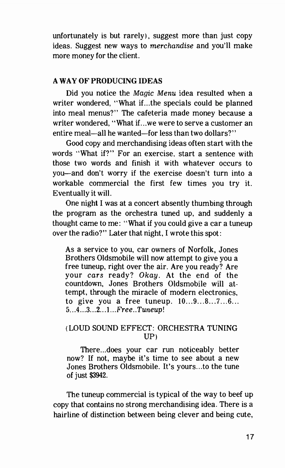unfortunately is but rarely), suggest more than just copy ideas. Suggest new ways to merchandise and you'll make more money for the client.

#### A WAY OF PRODUCING IDEAS

Did you notice the Magic Menu idea resulted when a writer wondered, "What if...the specials could be planned into meal menus?" The cafeteria made money because a writer wondered, "What if...we were to serve a customer an entire meal—all he wanted—for less than two dollars?"

Good copy and merchandising ideas often start with the words "What if?" For an exercise, start a sentence with those two words and finish it with whatever occurs to you—and don't worry if the exercise doesn't turn into a workable commercial the first few times you try it. Eventually it will.

One night I was at a concert absently thumbing through the program as the orchestra tuned up, and suddenly a thought came to me: "What if you could give a car a tuneup over the radio?" Later that night, I wrote this spot:

As a service to you, car owners of Norfolk, Jones Brothers Oldsmobile will now attempt to give you a free tuneup, right over the air. Are you ready? Are your cars ready? Okay. At the end of the countdown, Jones Brothers Oldsmobile will attempt, through the miracle of modern electronics, to give you a free tuneup. 10...9...8...7...6... 5...4...3...2...1...Free..Tuneup!

#### (LOUD SOUND EFFECT: ORCHESTRA TUNING UP)

There.. does your car run noticeably better now? If not, maybe it's time to see about a new Jones Brothers Oldsmobile. It's yours...to the tune of just \$3942.

The tuneup commercial is typical of the way to beef up copy that contains no strong merchandising idea. There is a hairline of distinction between being clever and being cute,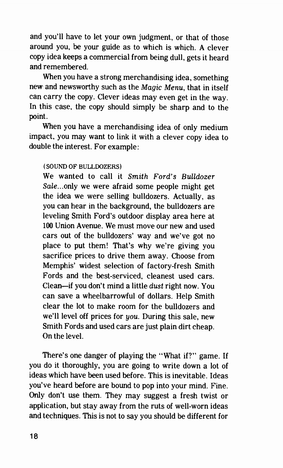and you'll have to let your own judgment, or that of those around you, be your guide as to which is which. A clever copy idea keeps a commercial from being dull, gets it heard and remembered.

When you have a strong merchandising idea, something new and newsworthy such as the Magic Menu, that in itself can carry the copy. Clever ideas may even get in the way. In this case, the copy should simply be sharp and to the point.

When you have a merchandising idea of only medium impact, you may want to link it with a clever copy idea to double the interest. For example:

#### ( SOUND OF BULLDOZERS)

We wanted to call it Smith Ford's Bulldozer Sale.. only we were afraid some people might get the idea we were selling bulldozers. Actually, as you can hear in the background, the bulldozers are leveling Smith Ford's outdoor display area here at 100 Union Avenue. We must move our new and used cars out of the bulldozers' way and we've got no place to put them! That's why we're giving you sacrifice prices to drive them away. Choose from Memphis' widest selection of factory-fresh Smith Fords and the best-serviced, cleanest used cars. Clean—if you don't mind a little dust right now. You can save a wheelbarrowful of dollars. Help Smith clear the lot to make room for the bulldozers and we'll level off prices for you. During this sale, new Smith Fords and used cars are just plain dirt cheap. On the level.

There's one danger of playing the "What if?" game. If you do it thoroughly, you are going to write down a lot of ideas which have been used before. This is inevitable. Ideas you've heard before are bound to pop into your mind. Fine. Only don't use them. They may suggest a fresh twist or application, but stay away from the ruts of well-worn ideas and techniques. This is not to say you should be different for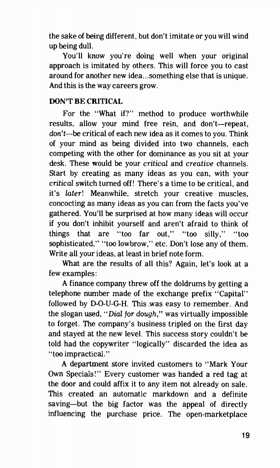the sake of being different, but don't imitate or you will wind up being dull.

You'll know you're doing well when your original approach is imitated by others. This will force you to cast around for another new idea...something else that is unique. And this is the way careers grow.

#### DON'T BE CRITICAL

For the "What if?" method to produce worthwhile results, allow your mind free rein, and don't—repeat, don't—be critical of each new idea as it comes to you. Think of your mind as being divided into two channels, each competing with the other for dominance as you sit at your desk. These would be your critical and creative channels. Start by creating as many ideas as you can, with your critical switch turned off! There's a time to be critical, and it's later! Meanwhile, stretch your creative muscles, concocting as many ideas as you can from the facts you've gathered. You'll be surprised at how many ideas will occur if you don't inhibit yourself and aren't afraid to think of things that are "too far out," "too silly," "too sophisticated," "too lowbrow," etc. Don't lose any of them. Write all your ideas, at least in brief note form.

What are the results of all this? Again, let's look at a few examples:

A finance company threw off the doldrums by getting a telephone number made of the exchange prefix "Capital" followed by D-O-U-G-H. This .was easy to remember. And the slogan used, "Dial for dough," was virtually impossible to forget. The company's business tripled on the first day and stayed at the new level. This success story couldn't be told had the copywriter "logically" discarded the idea as "too impractical."

A department store invited customers to "Mark Your Own Specials!" Every customer was handed a red tag at the door and could affix it to any item not already on sale. This created an automatic markdown and a definite saving—but the big factor was the appeal of directly influencing the purchase price. The open-marketplace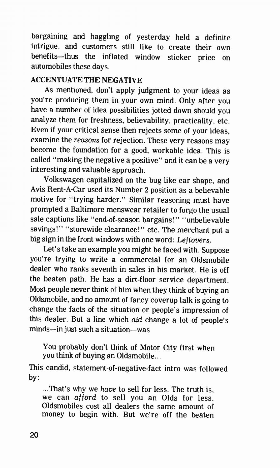bargaining and haggling of yesterday held a definite intrigue, and customers still like to create their own benefits—thus the inflated window sticker price on automobiles these days.

#### ACCENTUATE THE NEGATIVE

As mentioned, don't apply judgment to your ideas as you're producing them in your own mind. Only after you have a number of idea possibilities jotted down should you analyze them for freshness, believability, practicality, etc. Even if your critical sense then rejects some of your ideas, examine the reasons for rejection. These very reasons may become the foundation for a good, workable idea. This is called "making the negative a positive" and it can be a very interesting and valuable approach.

Volkswagen capitalized on the bug-like car shape, and Avis Rent-A-Car used its Number 2 position as a believable motive for "trying harder." Similar reasoning must have prompted a Baltimore menswear retailer to forgo the usual sale captions like "end-of-season bargains!" "unbelievable savings!" "storewide clearance!" etc. The merchant put a big sign in the front windows with one word: Leftovers.

Let's take an example you might be faced with. Suppose you're trying to write a commercial for an Oldsmobile dealer who ranks seventh in sales in his market. He is off the beaten path. He has a dirt-floor service department. Most people never think of him when they think of buying an Oldsmobile, and no amount of fancy coverup talk is going to change the facts of the situation or people's impression of this dealer. But a line which did change a lot of people's minds—in just such a situation—was

You probably don't think of Motor City first when you think of buying an Oldsmobile...

This candid, statement-of-negative-fact intro was followed by:

...That's why we have to sell for less. The truth is, we can afford to sell you an Olds for less. Oldsmobiles cost all dealers the same amount of money to begin with. But we're off the beaten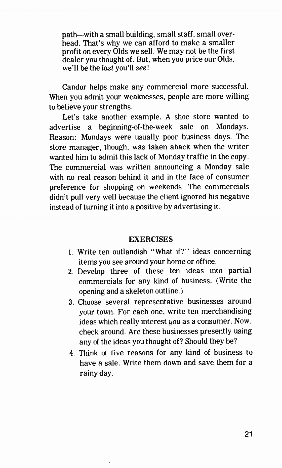path—with a small building, small staff, small overhead. That's why we can afford to make a smaller profit on every Olds we sell. We may not be the first dealer you thought of. But, when you price our Olds, we'll be the last you'll see!

Candor helps make any commercial more successful. When you admit your weaknesses, people are more willing to believe your strengths.

Let's take another example. A shoe store wanted to advertise a beginning-of-the-week sale on Mondays. Reason: Mondays were usually poor business days. The store manager, though, was taken aback when the writer wanted him to admit this lack of Monday traffic in the copy. The commercial was written announcing a Monday sale with no real reason behind it and in the face of consumer preference for shopping on weekends. The commercials didn't pull very well because the client ignored his negative instead of turning it into a positive by advertising it.

#### **EXERCISES**

- 1. Write ten outlandish "What if?" ideas concerning items you see around your home or office.
- 2. Develop three of these ten ideas into partial commercials for any kind of business. (Write the opening and a skeleton outline.)
- 3. Choose several representative businesses around your town. For each one, write ten merchandising ideas which really interest you as a consumer. Now, check around. Are these businesses presently using any of the ideas you thought of? Should they be?
- 4. Think of five reasons for any kind of business to have a sale. Write them down and save them for a rainy day.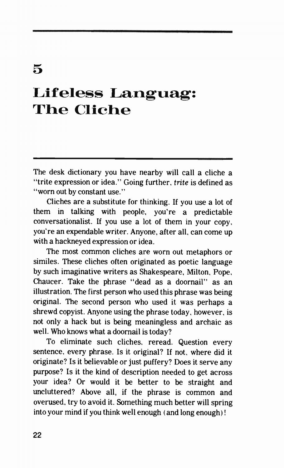### 5

### Lifeless Languag: The Cliche

The desk dictionary you have nearby will call a cliche a "trite expression or idea." Going further, trite is defined as "worn out by constant use."

Cliches are a substitute for thinking. If you use a lot of them in talking with people, you're a predictable conversationalist. If you use a lot of them in your copy. you're an expendable writer. Anyone, after all, can come up with a hackneyed expression or idea.

The most common cliches are worn out metaphors or similes. These cliches often originated as poetic language by such imaginative writers as Shakespeare, Milton, Pope, Chaucer. Take the phrase "dead as a doornail" as an illustration. The first person who used this phrase was being original. The second person who used it was perhaps a shrewd copyist. Anyone using the phrase today, however, is not only a hack but is being meaningless and archaic as well. Who knows what a doornail is today?

To eliminate such cliches, reread. Question every sentence, every phrase. Is it original? If not, where did it originate? Is it believable or just puffery? Does it serve any purpose? Is it the kind of description needed to get across your idea? Or would it be better to be straight and uncluttered? Above all, if the phrase is common and overused, try to avoid it. Something much better will spring into your mind if you think well enough ( and long enough) !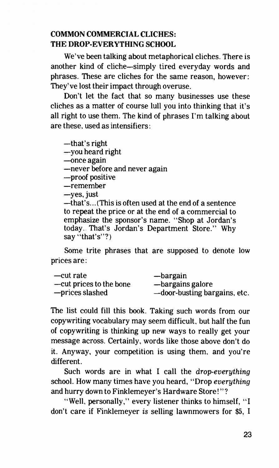#### COMMON COMMERCIAL CLICHES: THE DROP-EVERYTHING SCHOOL

We've been talking about metaphorical cliches. There is another kind of cliche—simply tired everyday words and phrases. These are cliches for the same reason, however: They've lost their impact through overuse.

Don't let the fact that so many businesses use these cliches as a matter of course lull you into thinking that it's all right to use them. The kind of phrases I'm talking about are these, used as intensifiers:

—that's right

- —you heard right
- —once again
- —never before and never again
- —proof positive
- —remember
- —yes, just

—that' s... ( This is often used at the end of a sentence to repeat the price or at the end of a commercial to emphasize the sponsor's name. "Shop at Jordan's today. That's Jordan's Department Store." Why say "that's"?)

Some trite phrases that are supposed to denote low prices are:

| —cut rate               | —bargain                     |
|-------------------------|------------------------------|
| —cut prices to the bone | -bargains galore             |
| -prices slashed         | -door-busting bargains, etc. |

The list could fill this book. Taking such words from our copywriting vocabulary may seem difficult, but half the fun of copywriting is thinking up new ways to really get your message across. Certainly, words like those above don't do it. Anyway, your competition is using them, and you're different.

Such words are in what I call the *drop-everything* school. How many times have you heard, "Drop everything and hurry down to Finklemeyer's Hardware Store! "?

"Well, personally," every listener thinks to himself, "I don't care if Finklemeyer is selling lawnmowers for \$5, I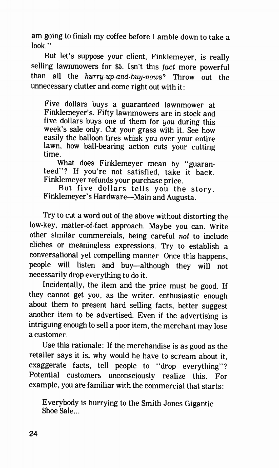am going to finish my coffee before I amble down to take a look."

But let's suppose your client, Finklemeyer, is really selling lawnmowers for \$5. Isn't this fact more powerful than all the hurry-up-and-buy-nows? Throw out the unnecessary clutter and come right out with it:

Five dollars buys a guaranteed lawnmower at Finklemeyer's. Fifty lawnmowers are in stock and five dollars buys one of them for you during this week's sale only. Cut your grass with it. See how easily the balloon tires whisk you over your entire lawn, how ball-bearing action cuts your cutting time.

What does Finklemeyer mean by "guaranteed"? If you're not satisfied, take it back. Finklemeyer refunds your purchase price.

But five dollars tells you the story. Finklemeyer's Hardware—Main and Augusta.

Try to cut a word out of the above without distorting the low-key, matter-of-fact approach. Maybe you can. Write other similar commercials, being careful not to include cliches or meaningless expressions. Try to establish a conversational yet compelling manner. Once this happens, people will listen and buy—although they will not necessarily drop everything to do it.

Incidentally, the item and the price must be good. If they cannot get you, as the writer, enthusiastic enough about them to present hard selling facts, better suggest another item to be advertised. Even if the advertising is intriguing enough to sell a poor item, the merchant may lose a customer.

Use this rationale: If the merchandise is as good as the retailer says it is, why would he have to scream about it, exaggerate facts, tell people to "drop everything"? Potential customers unconsciously realize this. For example, you are familiar with the commercial that starts:

Everybody is hurrying to the Smith-Jones Gigantic Shoe Sale...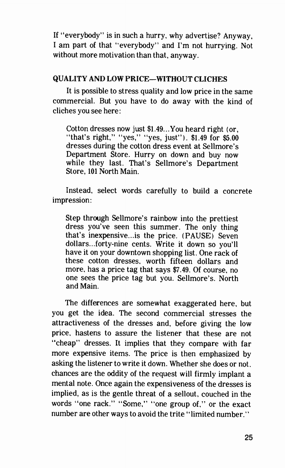If "everybody" is in such a hurry, why advertise? Anyway. I am part of that "everybody" and I'm not hurrying. Not without more motivation than that, anyway.

#### QUALITY AND LOW PRICE—WITHOUT CLICHES

It is possible to stress quality and low price in the same commercial. But you have to do away with the kind of cliches you see here:

Cotton dresses now just  $$1.49...$ You heard right (or, "that's right," "yes," "yes, just"). \$1.49 for \$5.00 dresses during the cotton dress event at Sellmore's Department Store. Hurry on down and buy now while they last. That's Sellmore's Department Store, 101 North Main.

Instead, select words carefully to build a concrete impression:

Step through Sellmore's rainbow into the prettiest dress you've seen this summer. The only thing that's inexpensive...is the price. (PAUSE) Seven dollars...forty-nine cents. Write it down so you'll have it on your downtown shopping list. One rack of these cotton dresses, worth fifteen dollars and more, has a price tag that says \$7.49. Of course, no one sees the price tag but you. Sellmore's. North and Main.

The differences are somewhat exaggerated here, but you get the idea. The second commercial stresses the attractiveness of the dresses and, before giving the low price, hastens to assure the listener that these are not "cheap" dresses. It implies that they compare with far more expensive items. The price is then emphasized by asking the listener to write it down. Whether she does or not. chances are the oddity of the request will firmly implant a mental note. Once again the expensiveness of the dresses is implied, as is the gentle threat of a sellout, couched in the words "one rack." "Some," "one group of," or the exact number are other ways to avoid the trite "limited number."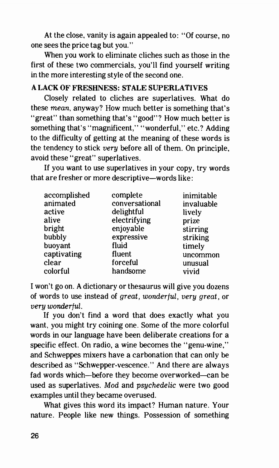At the close, vanity is again appealed to: "Of course, no one sees the price tag but you."

When you work to eliminate cliches such as those in the first of these two commercials, you'll find yourself writing in the more interesting style of the second one.

#### A LACK OF FRESHNESS: STALE SUPERLATIVES

Closely related to cliches are superlatives. What do these mean, anyway? How much better is something that's "great" than something that's "good"? How much better is something that's "magnificent," "wonderful," etc.? Adding to the difficulty of getting at the meaning of these words is the tendency to stick very before all of them. On principle, avoid these "great" superlatives.

If you want to use superlatives in your copy, try words that are fresher or more descriptive—words like:

| accomplished | complete       | inimitable |
|--------------|----------------|------------|
| animated     | conversational | invaluable |
| active       | delightful     | lively     |
| alive        | electrifying   | prize      |
| bright       | enjoyable      | stirring   |
| bubbly       | expressive     | striking   |
| buoyant      | fluid          | timely     |
| captivating  | fluent         | uncommon   |
| clear        | forceful       | unusual    |
| colorful     | handsome       | vivid      |
|              |                |            |

I won't go on. A dictionary or thesaurus will give you dozens of words to use instead of great, wonderful, very great, or very wonderful.

If you don't find a word that does exactly what you want, you might try coining one. Some of the more colorful words in our language have been deliberate creations for a specific effect. On radio, a wine becomes the "genu-wine," and Schweppes mixers have a carbonation that can only be described as "Schwepper-vescence." And there are always fad words which—before they become overworked—can be used as superlatives. Mod and psychedelic were two good examples until they became overused.

What gives this word its impact? Human nature. Your nature. People like new things. Possession of something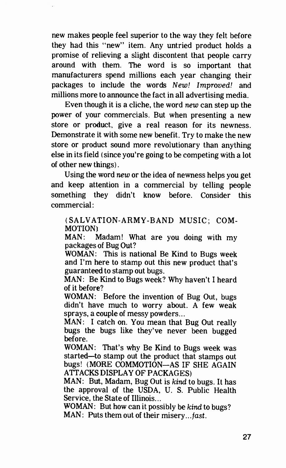new makes people feel superior to the way they felt before they had this "new" item. Any untried product holds a promise of relieving a slight discontent that people carry around with them. The word is so important that manufacturers spend millions each year changing their packages to include the words New! Improved! and millions more to announce the fact in all advertising media.

Even though it is a cliche, the word new can step up the power of your commercials. But when presenting a new store or product, give a real reason for its newness. Demonstrate it with some new benefit. Try to make the new store or product sound more revolutionary than anything else in its field (since you're going to be competing with a lot of other new things).

Using the word new or the idea of newness helps you get and keep attention in a commercial by telling people something they didn't know before. Consider this commercial:

(SALVATION-ARMY-BAND MUSIC; COM-MOTION)

MAN: Madam! What are you doing with my packages of Bug Out?

WOMAN: This is national Be Kind to Bugs week and I'm here to stamp out this new product that's guaranteed to stamp out bugs.

MAN: Be Kind to Bugs week? Why haven't I heard of it before?

WOMAN: Before the invention of Bug Out, bugs didn't have much to worry about. A few weak sprays, a couple of messy powders...

MAN: I catch on. You mean that Bug Out really bugs the bugs like they've never been bugged before.

WOMAN: That's why Be Kind to Bugs week was started—to stamp out the product that stamps out bugs! (MORE COMMOTION—AS IF SHE AGAIN ATTACKS DISPLAY OF PACKAGES)

MAN: But, Madam, Bug Out is kind to bugs. It has the approval of the USDA, U. S. Public Health Service, the State of Illinois...

WOMAN: But how can it possibly be kind to bugs? MAN: Puts them out of their misery.. fast.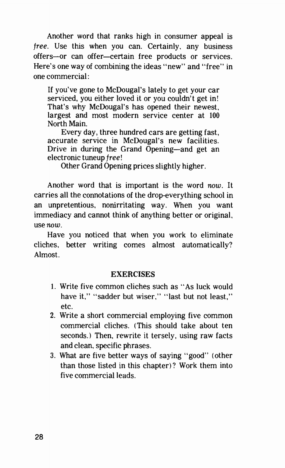Another word that ranks high in consumer appeal is free. Use this when you can. Certainly, any business offers—or can offer—certain free products or services. Here's one way of combining the ideas "new" and "free" in one commercial:

If you've gone to McDougal's lately to get your car serviced, you either loved it or you couldn't get in! That's why McDougal's has opened their newest, largest and most modern service center at 100 North Main.

Every day, three hundred cars are getting fast, accurate service in McDougal's new facilities. Drive in during the Grand Opening—and get an electronic tuneup free!

Other Grand Opening prices slightly higher.

Another word that is important is the word now. It carries all the connotations of the drop-everything school in an unpretentious, nonirritating way. When you want immediacy and cannot think of anything better or original, use now.

Have you noticed that when you work to eliminate cliches, better writing comes almost automatically? Almost.

#### **EXERCISES**

- 1. Write five common cliches such as "As luck would have it," "sadder but wiser," "last but not least." etc.
- 2. Write a short commercial employing five common commercial cliches. (This should take about ten seconds.) Then, rewrite it tersely, using raw facts and clean, specific phrases.
- 3. What are five better ways of saying "good" (other than those listed in this chapter)? Work them into five commercial leads.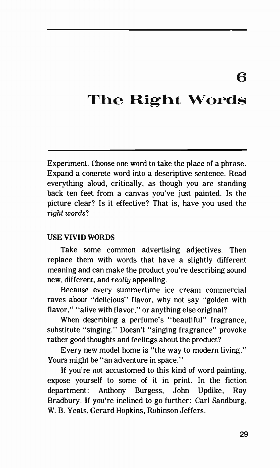6

### The Right Words

Experiment. Choose one word to take the place of a phrase. Expand a concrete word into a descriptive sentence. Read everything aloud, critically, as though you are standing back ten feet from a canvas you've just painted. Is the picture clear? Is it effective? That is, have you used the right words?

#### USE VIVID WORDS

Take some common advertising adjectives. Then replace them with words that have a slightly different meaning and can make the product you're describing sound new, different, and really appealing.

Because every summertime ice cream commercial raves about "delicious" flavor, why not say "golden with flavor." "alive with flavor," or anything else original?

When describing a perfume's "beautiful" fragrance, substitute "singing." Doesn't "singing fragrance" provoke rather good thoughts and feelings about the product?

Every new model home is "the way to modern living." Yours might be "an adventure in space."

If you're not accustomed to this kind of word-painting, expose yourself to some of it in print. In the fiction department: Anthony Burgess, John Updike, Ray Bradbury. If you're inclined to go further: Carl Sandburg, W. B. Yeats, Gerard Hopkins, Robinson Jeffers.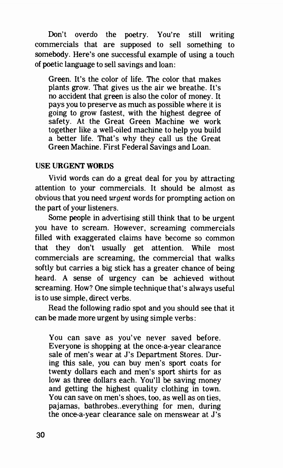Don't overdo the poetry. You're still writing commercials that are supposed to sell something to somebody. Here's one successful example of using a touch of poetic language to sell savings and loan:

Green. It's the color of life. The color that makes plants grow. That gives us the air we breathe. It's no accident that green is also the color of money. It pays you to preserve as much as possible where it is going to grow fastest, with the highest degree of safety. At the Great Green Machine we work together like a well-oiled machine to help you build a better life. That's why they call us the Great Green Machine. First Federal Savings and Loan.

#### USE URGENT WORDS

Vivid words can do a great deal for you by attracting attention to your commercials. It should be almost as obvious that you need urgent words for prompting action on the part of your listeners.

Some people in advertising still think that to be urgent you have to scream. However, screaming commercials filled with exaggerated claims have become so common that they don't usually get attention. While most commercials are screaming, the commercial that walks softly but carries a big stick has a greater chance of being heard. A sense of urgency can be achieved without screaming. How? One simple technique that's always useful is to use simple, direct verbs.

Read the following radio spot and you should see that it can be made more urgent by using simple verbs:

You can save as you've never saved before. Everyone is shopping at the once-a-year clearance sale of men's wear at J's Department Stores. During this sale, you can buy men's sport coats for twenty dollars each and men's sport shirts for as low as three dollars each. You'll be saving money and getting the highest quality clothing in town. You can save on men's shoes, too, as well as on ties, pajamas, bathrobes. .everything for men, during the once-a-year clearance sale on menswear at J's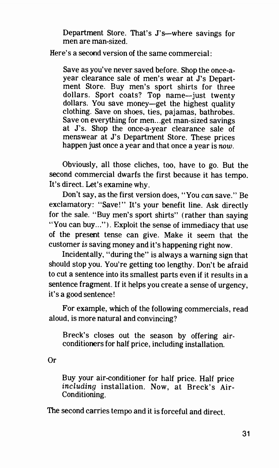Department Store. That's J's—where savings for men are man-sized.

Here's a second version of the same commercial:

Save as you've never saved before. Shop the once-ayear clearance sale of men's wear at J's Department Store. Buy men's sport shirts for three dollars. Sport coats? Top name—just twenty dollars. You save money—get the highest quality clothing. Save on shoes, ties, pajamas, bathrobes. Save on everything for men...get man-sized savings at J's. Shop the once-a-year clearance sale of menswear at J's Department Store. These prices happen just once a year and that once a year is now.

Obviously, all those cliches, too, have to go. But the second commercial dwarfs the first because it has tempo. It's direct. Let's examine why.

Don't say, as the first version does, "You can save." Be exclamatory: "Save!" It's your benefit line. Ask directly for the sale. "Buy men's sport shirts" (rather than saying "You can buy..." ). Exploit the sense of immediacy that use of the present tense can give. Make it seem that the customer is saving money and it's happening right now.

Incidentally, "during the" is always a warning sign that should stop you. You're getting too lengthy. Don't be afraid to cut a sentence into its smallest parts even if it results in a sentence fragment. If it helps you create a sense of urgency, it's a good sentence!

For example, which of the following commercials, read aloud, is more natural and convincing?

Breck's closes out the season by offering airconditioners for half price, including installation.

Or

Buy your air-conditioner for half price. Half price including installation. Now, at Breck's Air-Conditioning.

The second carries tempo and it is forceful and direct.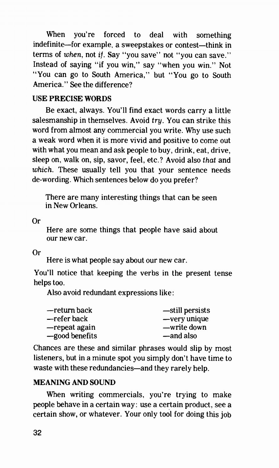When you're forced to deal with something indefinite—for example, a sweepstakes or contest—think in terms of when, not if. Say "you save" not "you can save." Instead of saying "if you win," say "when you win." Not "You can go to South America," but "You go to South America." See the difference?

#### USE PRECISE WORDS

Be exact, always. You'll find exact words carry a little salesmanship in themselves. Avoid try. You can strike this word from almost any commercial you write. Why use such a weak word when it is more vivid and positive to come out with what you mean and ask people to buy, drink, eat, drive, sleep on, walk on, sip, savor, feel, etc.? Avoid also that and which. These usually tell you that your sentence needs de-wording. Which sentences below do you prefer?

There are many interesting things that can be seen in New Orleans.

Or

Here are some things that people have said about our new car.

Or

Here is what people say about our new car.

You'll notice that keeping the verbs in the present tense helps too.

Also avoid redundant expressions like:

| —return back   | -still persists |
|----------------|-----------------|
| —refer back    | -very unique    |
| -repeat again  | —write down     |
| -good benefits | —and also       |

Chances are these and similar phrases would slip by most listeners, but in a minute spot you simply don't have time to waste with these redundancies—and they rarely help.

#### MEANING AND SOUND

When writing commercials, you're trying to make people behave in a certain way: use a certain product, see a certain show, or whatever. Your only tool for doing this job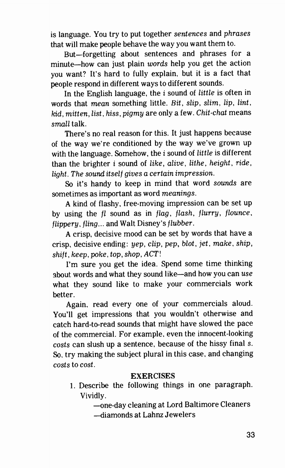is language. You try to put together sentences and phrases that will make people behave the way you want them to.

But—forgetting about sentences and phrases for a minute—how can just plain words help you get the action you want? It's hard to fully explain, but it is a fact that people respond in different ways to different sounds.

In the English language, the  $i$  sound of *little* is often in words that mean something little. Bit, slip, slim, lip, lint, kid, mitten, list, hiss, pigmy are only a few. Chit-chat means small talk.

There's no real reason for this. It just happens because of the way we're conditioned by the way we've grown up with the language. Somehow, the  $i$  sound of little is different than the brighter  $i$  sound of like, alive, lithe, height, ride, light. The sound itself gives a certain impression.

So it's handy to keep in mind that word sounds are sometimes as important as word meanings.

A kind of flashy, free-moving impression can be set up by using the fl sound as in flag, flash, flurry, flounce,  $flippery, filing...$  and Walt Disney's  $flubber.$ 

A crisp, decisive mood can be set by words that have a crisp, decisive ending: yep, clip, pep, blot, jet, make, ship, shift, keep, poke, top, shop, ACT!

I'm sure you get the idea. Spend some time thinking about words and what they sound like—and how you can use what they sound like to make your commercials work better.

Again, read every one of your commercials aloud. You'll get impressions that you wouldn't otherwise and catch hard-to-read sounds that might have slowed the pace of the commercial. For example, even the innocent-looking costs can slush up a sentence, because of the hissy final s. So, try making the subject plural in this case, and changing costs to cost.

#### EXERCISES

1. Describe the following things in one paragraph. Vividly.

—one-day cleaning at Lord Baltimore Cleaners

—diamonds at Lahnz Jewelers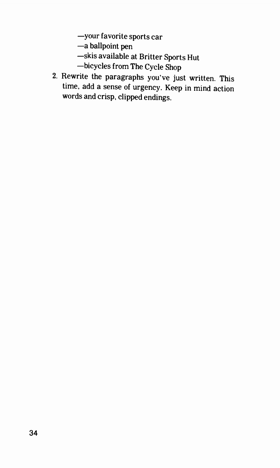—your favorite sports car

—a ballpoint pen

- —skis available at Britter Sports Hut
- —bicycles from The Cycle Shop
- 2. Rewrite the paragraphs you've just written. This time, add a sense of urgency. Keep in mind action words and crisp, clipped endings.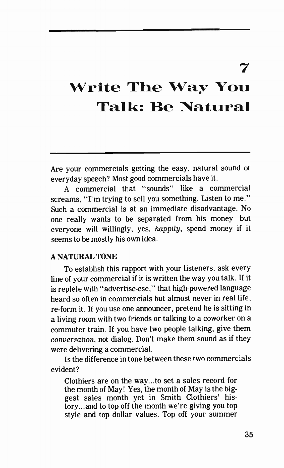7

## Write The Way You Talk: Be Natural

Are your commercials getting the easy, natural sound of everyday speech? Most good commercials have it.

A commercial that "sounds" like a commercial screams, "I'm trying to sell you something. Listen to me." Such a commercial is at an immediate disadvantage. No one really wants to be separated from his money—but everyone will willingly, yes, happily, spend money if it seems to be mostly his own idea.

#### A NATURAL TONE

To establish this rapport with your listeners, ask every line of your commercial if it is written the way you talk. If it is replete with "advertise-ese," that high-powered language heard so often in commercials but almost never in real life, re-form it. If you use one announcer, pretend he is sitting in a living room with two friends or talking to a coworker on a commuter train. If you have two people talking, give them conversation, not dialog. Don't make them sound as if they were delivering a commercial.

Is the difference in tone between these two commercials evident?

Clothiers are on the way...to set a sales record for the month of May! Yes, the month of May is the biggest sales month yet in Smith Clothiers' history...and to top off the month we're giving you top style and top dollar values. Top off your summer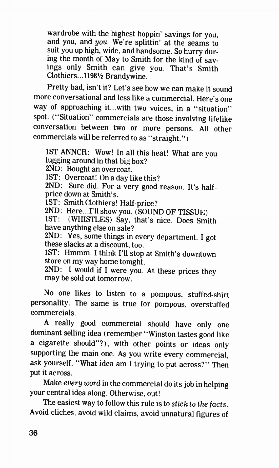wardrobe with the highest hoppin' savings for you, and you, and you. We're splittin' at the seams to suit you up high, wide, and handsome. So hurry during the month of May to Smith for the kind of savings only Smith can give you. That's Smith Clothiers...11981/<sub>2</sub> Brandywine.

Pretty had, isn't it? Let's see how we can make it sound more conversational and less like a commercial. Here's one way of approaching it...with two voices, in a "situation" spot. ("Situation" commercials are those involving lifelike conversation between two or more persons. All other commercials will be referred to as "straight." )

1ST ANNCR: Wow! In all this heat! What are you lugging around in that big box?

2ND: Bought an overcoat.

1ST: Overcoat! On a day like this?

2ND: Sure did. For a very good reason. It's halfprice down at Smith's.

1ST: Smith Clothiers! Half-price?

2ND: Here...I'll show you. ( SOUND OF TISSUE)

1ST: (WHISTLES) Say, that's nice. Does Smith have anything else on sale?

2ND: Yes, some things in every department. I got these slacks at a discount, too.

1ST: Hmmm. I think I'll stop at Smith's downtown store on my way home tonight.

2ND: I would if I were you. At these prices they may be sold out tomorrow.

No one likes to listen to a pompous, stuffed-shirt personality. The same is true for pompous, overstuffed commercials.

A really good commercial should have only one dominant selling idea ( remember "Winston tastes good like a cigarette should"?), with other points or ideas only supporting the main one. As you write every commercial, ask yourself, "What idea am I trying to put across?" Then put it across.

Make every word in the commercial do its job in helping your central idea along. Otherwise, out!

The easiest way to follow this rule is to stick to the facts. Avoid cliches, avoid wild claims, avoid unnatural figures of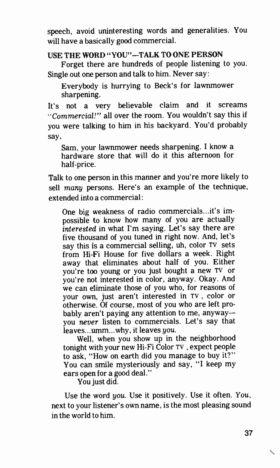speech, avoid uninteresting words and generalities. You will have a basically good commercial.

### USE THE WORD "YOU"—TALK TO ONE PERSON

Forget there are hundreds of people listening to you. Single out one person and talk to him. Never say:

Everybody is hurrying to Beck's for lawnmower sharpening.

It's not a very believable claim and it screams "Commercial!" all over the room. You wouldn't say this if you were talking to him in his backyard. You'd probably say,

Sam, your lawnmower needs sharpening. I know a hardware store that will do it this afternoon for half-price.

Talk to one person in this manner and you're more likely to sell many persons. Here's an example of the technique, extended into a commercial:

One big weakness of radio commercials...it's impossible to know how many of you are actually interested in what I'm saying. Let's say there are five thousand of you tuned in right now. And, let's say this is a commercial selling, uh, color TV sets from Hi-Fi House for five dollars a week. Right away that eliminates about half of you. Either you're too young or you just bought a new TV or you're not interested in color, anyway. Okay. And we can eliminate those of you who, for reasons of your own, just aren't interested in TV , color or otherwise. Of course, most of you who are left probably aren't paying any attention to me, anyway you never listen to commercials. Let's say that leaves...umm...why, it leaves you.

Well, when you show up in the neighborhood tonight with your new Hi-Fi Color TV , expect people to ask, "How on earth did you manage to buy it?" You can smile mysteriously and say, "I keep my ears open for a good deal."

You just did.

Use the word you. Use it positively. Use it often. You, next to your listener's own name, is the most pleasing sound in the world to him.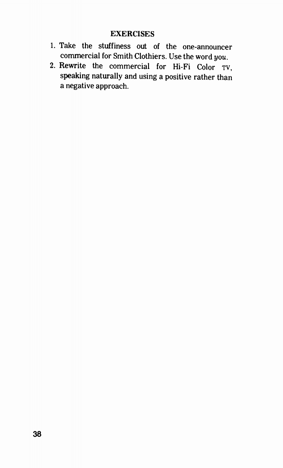### **EXERCISES**

- 1. Take the stuffiness out of the one-announcer commercial for Smith Clothiers. Use the word you.
- 2. Rewrite the commercial for Hi-Fi Color TV, speaking naturally and using a positive rather than a negative approach.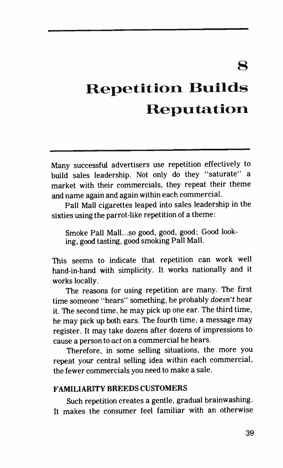8

# **Repetition Builds** Reputation

Many successful advertisers use repetition effectively to build sales leadership. Not only do they "saturate" a market with their commercials, they repeat their theme and name again and again within each commercial.

Pall Mall cigarettes leaped into sales leadership in the sixties using the parrot-like repetition of a theme:

Smoke Pall Mall...so good, good, good; Good looking, good tasting, good smoking Pall Mall.

This seems to indicate that repetition can work well hand-in-hand with simplicity. It works nationally and it works locally.

The reasons for using repetition are many. The first time someone "hears" something, he probably doesn't hear it. The second time. he may pick up one ear. The third time, he may pick up both ears. The fourth time, a message may register. It may take dozens after dozens of impressions to cause a person to act on a commercial he hears.

Therefore, in some selling situations, the more you repeat your central selling idea within each commercial, the fewer commercials you need to make a sale.

### FAMILIARITY BREEDS CUSTOMERS

Such repetition creates a gentle, gradual brainwashing. It makes the consumer feel familiar with an otherwise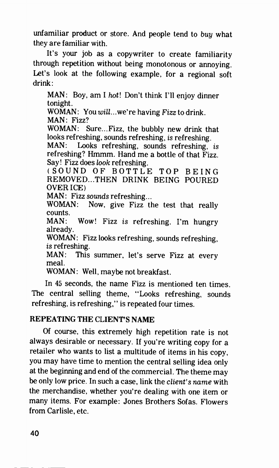unfamiliar product or store. And people tend to buy what they are familiar with.

It's your job as a copywriter to create familiarity through repetition without being monotonous or annoying. Let's look at the following example, for a regional soft drink :

MAN: Boy, am I hot! Don't think I'll enjoy dinner tonight. WOMAN: You will...we're having Fizz to drink. MAN: Fizz? WOMAN: Sure...Fizz, the bubbly new drink that looks refreshing, sounds refreshing, is refreshing. MAN: Looks refreshing, sounds refreshing, is refreshing? Hmmm. Hand me a bottle of that Fizz. Say! Fizz does look refreshing. (SOUND OF BOTTLE TOP BEING REMOVED...THEN DRINK BEING POURED OVER ICE) MAN: Fizz sounds refreshing... WOMAN: Now, give Fizz the test that really counts. MAN: Wow! Fizz is refreshing. I'm hungry already. WOMAN: Fizz looks refreshing, sounds refreshing, is refreshing. MAN: This summer, let's serve Fizz at every meal.

WOMAN: Well, maybe not breakfast.

In 45 seconds, the name Fizz is mentioned ten times. The central selling theme, "Looks refreshing, sounds refreshing, is refreshing," is repeated four times.

# REPEATING THE CLIENT'S NAME

Of course, this extremely high repetition rate is not always desirable or necessary. If you're writing copy for a retailer who wants to list a multitude of items in his copy, you may have time to mention the central selling idea only at the beginning and end of the commercial. The theme may be only low price. In such a case, link the *client's name* with the merchandise, whether you're dealing with one item or many items. For example: Jones Brothers Sofas. Flowers from Carlisle, etc.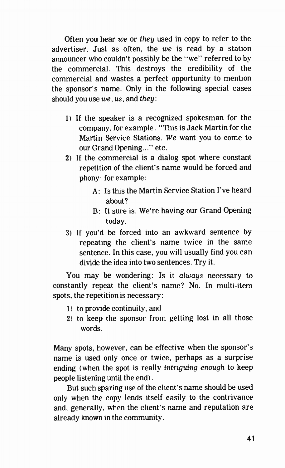Often you hear we or they used in copy to refer to the advertiser. Just as often, the we is read by a station announcer who couldn't possibly be the "we" referred to by the commercial. This destroys the credibility of the commercial and wastes a perfect opportunity to mention the sponsor's name. Only in the following special cases should you use  $we$ ,  $us$ , and they:

- 1) If the speaker is a recognized spokesman for the company, for example: "This is Jack Martin for the Martin Service Stations. We want you to come to our Grand Opening..." etc.
- 2) If the commercial is a dialog spot where constant repetition of the client's name would be forced and phony; for example:
	- A: Is this the Martin Service Station I've heard about?
	- B: It sure is. We're having our Grand Opening today.
- 3) If you'd be forced into an awkward sentence by repeating the client's name twice in the same sentence. In this case, you will usually find you can divide the idea into two sentences. Try it.

You may be wondering: Is it always necessary to constantly repeat the client's name? No. In multi-item spots, the repetition is necessary:

- 1) to provide continuity, and
- 2) to keep the sponsor from getting lost in all those words.

Many spots, however, can be effective when the sponsor's name is used only once or twice, perhaps as a surprise ending (when the spot is really *intriguing enough* to keep people listening until the end).

But such sparing use of the client's name should be used only when the copy lends itself easily to the contrivance and, generally, when the client's name and reputation are already known in the community.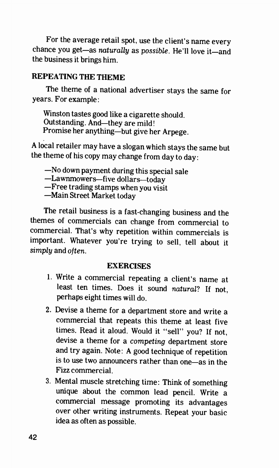For the average retail spot, use the client's name every chance you get—as naturally as possible. He'll love it—and the business it brings him.

# REPEATING THE THEME

The theme of a national advertiser stays the same for years. For example:

Winston tastes good like a cigarette should. Outstanding. And—they are mild! Promise her anything—but give her Arpege.

A local retailer may have a slogan which stays the same but the theme of his copy may change from day to day:

—No down payment during this special sale

—Lawnmowers—five dollars—today

—Free trading stamps when you visit

—Main Street Market today

The retail business is a fast-changing business and the themes of commercials can change from commercial to commercial. That's why repetition within commercials is important. Whatever you're trying to sell, tell about it simply and often.

### EXERCISES

- 1. Write a commercial repeating a client's name at least ten times. Does it sound natural? If not, perhaps eight times will do.
- 2. Devise a theme for a department store and write a commercial that repeats this theme at least five times. Read it aloud. Would it "sell" you? If not, devise a theme for a competing department store and try again. Note: A good technique of repetition is to use two announcers rather than one—as in the Fizz commercial.
- 3. Mental muscle stretching time: Think of something unique about the common lead pencil. Write a commercial message promoting its advantages over other writing instruments. Repeat your basic idea as often as possible.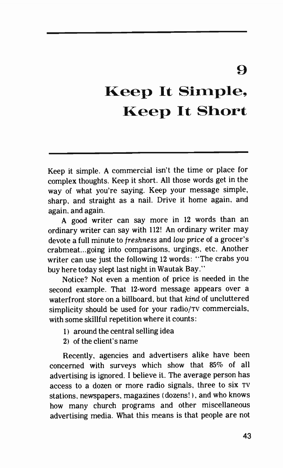# $\boldsymbol{\Omega}$

# Keep It Simple, Keep It Short

Keep it simple. A commercial isn't the time or place for complex thoughts. Keep it short. All those words get in the way of what you're saying. Keep your message simple, sharp, and straight as a nail. Drive it home again, and again, and again.

A good writer can say more in 12 words than an ordinary writer can say with 112! An ordinary writer may devote a full minute to freshness and low price of a grocer's crabmeat...going into comparisons, urgings, etc. Another writer can use just the following 12 words: "The crabs you buy here today slept last night in Wautak Bay."

Notice? Not even a mention of price is needed in the second example. That 12-word message appears over a waterfront store on a billboard, but that kind of uncluttered simplicity should be used for your radio/Tv commercials, with some skillful repetition where it counts:

- 1) around the central selling idea
- 21 of the client's name

Recently, agencies and advertisers alike have been concerned with surveys which show that 85% of all advertising is ignored. I believe it. The average person has access to a dozen or more radio signals. three to six TV stations, newspapers. magazines (dozens!), and who knows how many church programs and other miscellaneous advertising media. What this means is that people are not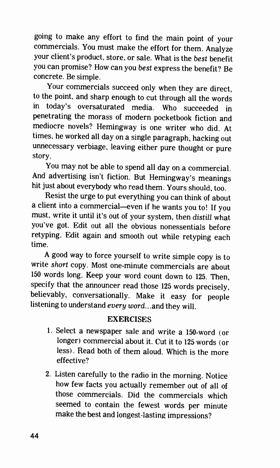going to make any effort to find the main point of your commercials. You must make the effort for them. Analyze your client's product, store, or sale. What is the best benefit you can promise? How can you best express the benefit? Be concrete. Be simple.

Your commercials succeed only when they are direct, to the point, and sharp enough to cut through all the words in today's oversaturated media. Who succeeded in penetrating the morass of modern pocketbook fiction and mediocre novels? Hemingway is one writer who did. At times, he worked all day on a single paragraph, hacking out unnecessary verbiage, leaving either pure thought or pure story.

You may not be able to spend all day on a commercial. And advertising isn't fiction. But Hemingway's meanings hit just about everybody who read them. Yours should, too.

Resist the urge to put everything you can think of about a client into a commercial—even if he wants you to! If you must, write it until it's out of your system, then distill what you've got. Edit out all the obvious nonessentials before retyping. Edit again and smooth out while retyping each time.

A good way to force yourself to write simple copy is to write short copy. Most one-minute commercials are about 150 words long. Keep your word count down to 125. Then, specify that the announcer read those 125 words precisely, believably, conversationally. Make it easy for people listening to understand every word...and they will.

### **EXERCISES**

- 1. Select a newspaper sale and write a 150-word (or longer) commercial about it. Cut it to 125 words (or less). Read both of them aloud. Which is the more effective?
- 2. Listen carefully to the radio in the morning. Notice how few facts you actually remember out of all of those commercials. Did the commercials which seemed to contain the fewest words per minute make the best and longest-lasting impressions?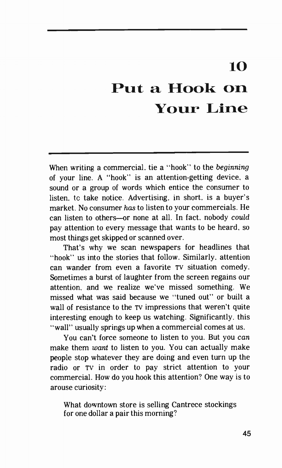# 10

# Put a Hook on Your Line

When writing a commercial, tie a "hook" to the beginning of your line. A "hook" is an attention-getting device, a sound or a group of words which entice the consumer to listen, to take notice. Advertising, in short, is a buyer's market. No consumer has to listen to your commercials. He can listen to others—or none at all. In fact, nobody could pay attention to every message that wants to be heard, so most things get skipped or scanned over.

That's why we scan newspapers for headlines that "hook" us into the stories that follow. Similarly, attention can wander from even a favorite TV situation comedy. Sometimes a burst of laughter from the screen regains our attention, and we realize we've missed something. We missed what was said because we "tuned out" or built a wall of resistance to the TV impressions that weren't quite interesting enough to keep us watching. Significantly, this "wall" usually springs up when a commercial comes at us.

You can't force someone to listen to you. But you can make them want to listen to you. You can actually make people stop whatever they are doing and even turn up the radio or TV in order to pay strict attention to your commercial. How do you hook this attention? One way is to arouse curiosity:

What downtown store is selling Cantrece stockings for one dollar a pair this morning?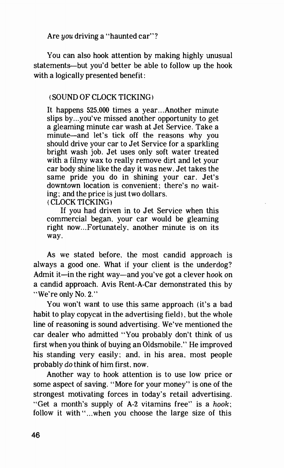Are you driving a "haunted car"?

You can also hook attention by making highly unusual statements—but you'd better be able to follow up the hook with a logically presented benefit:

### ( SOUND OF CLOCK TICKING)

It happens 525.000 times a year.. Another minute slips by.. you've missed another opportunity to get a gleaming minute car wash at Jet Service. Take a minute—and let's tick off the reasons why you should drive your car to Jet Service for a sparkling bright wash job. Jet uses only soft water treated with a filmy wax to really remove dirt and let your car body shine like the day it was new. Jet takes the same pride you do in shining your car. Jet's downtown location is convenient; there's no waiting; and the price is just two dollars.

(CLOCK TICKING)

If you had driven in to Jet Service when this commercial began. your car would be gleaming right now... Fortunately. another minute is on its way.

As we stated before, the most candid approach is always a good one. What if your client is the underdog? Admit it—in the right way—and you've got a clever hook on a candid approach. Avis Rent-A-Car demonstrated this by "We're only No. 2."

You won't want to use this same approach (it's a bad habit to play copycat in the advertising field), but the whole line of reasoning is sound advertising. We've mentioned the car dealer who admitted "You probably don't think of us first when you think of buying an Oldsmobile." He improved his standing very easily; and, in his area, most people probably do think of him first. now.

Another way to hook attention is to use low price or some aspect of saving. "More for your money" is one of the strongest motivating forces in today's retail advertising. "Get a month's supply of A-2 vitamins free" is a hook; follow it with "...when you choose the large size of this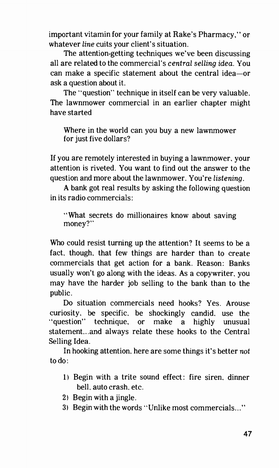important vitamin for your family at Rake's Pharmacy," or whatever line cuits your client's situation.

The attention-getting techniques we've been discussing all are related to the commercial's central selling idea. You can make a specific statement about the central idea—or ask a question about it.

The "question" technique in itself can be very valuable. The lawnmower commercial in an earlier chapter might have started

Where in the world can you buy a new lawnmower for just five dollars?

If you are remotely interested in buying a lawnmower, your attention is riveted. You want to find out the answer to the question and more about the lawnmower. You're listening.

A bank got real results by asking the following question in its radio commercials:

"What secrets do millionaires know about saving money?"

Who could resist turning up the attention? It seems to be a fact. though. that few things are harder than to create commercials that get action for a bank. Reason: Banks usually won't go along with the ideas. As a copywriter, you may have the harder job selling to the bank than to the public.

Do situation commercials need hooks? Yes. Arouse curiosity, be specific. be shockingly candid, use the "question" technique, or make a highly unusual statement...and always relate these hooks to the Central Selling Idea.

In hooking attention, here are some things it's better not to do:

- 1) Begin with a trite sound effect: fire siren, dinner bell, auto crash. etc.
- 2) Begin with a jingle.
- 3) Begin with the words "Unlike most commercials..."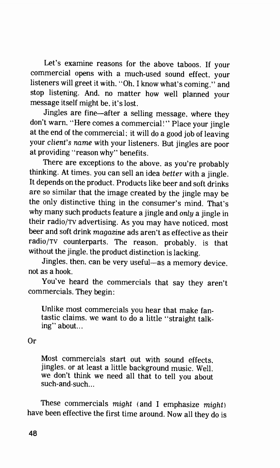Let's examine reasons for the above taboos. If your commercial opens with a much-used sound effect, your listeners will greet it with, "Oh, I know what's coming," and stop listening. And, no matter how well planned your message itself might be. it's lost.

Jingles are fine—after a selling message, where they don't warn. "Here comes a commercial!" Place your jingle at the end of the commercial; it will do a good job of leaving your client's name with your listeners. But jingles are poor at providing "reason why" benefits.

There are exceptions to the above, as you're probably thinking. At times. you can sell an idea better with a jingle. It depends on the product. Products like beer and soft drinks are so similar that the image created by the jingle may be the only distinctive thing in the consumer's mind. That's why many such products feature a jingle and only a jingle in their radio/Tv advertising. As you may have noticed, most beer and soft drink magazine ads aren't as effective as their radio/Tv counterparts. The reason, probably, is that without the jingle, the product distinction is lacking.

Jingles. then, can be very useful—as a memory device, not as a hook.

You've heard the commercials that say they aren't commercials. They begin:

Unlike most commercials you hear that make fantastic claims, we want to do a little "straight talking" about...

Or

Most commercials start out with sound effects. jingles, or at least a little background music. Well. we don't think we need all that to tell you about such-and-such...

These commercials might (and I emphasize might) have been effective the first time around. Now all they do is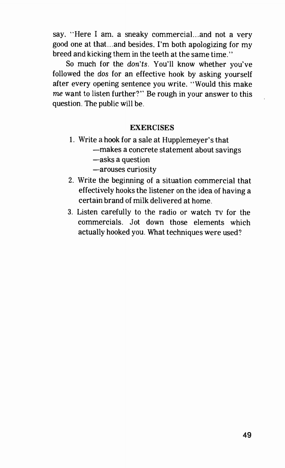say. "Here I am. a sneaky commercial...and not a very good one at that...and besides. I'm both apologizing for my breed and kicking them in the teeth at the same time."

So much for the don'ts. You'll know whether you've followed the dos for an effective hook by asking yourself after every opening sentence you write. "Would this make me want to listen further?" Be rough in your answer to this question. The public will be.

#### **EXERCISES**

- 1. Write a hook for a sale at Hupplemeyer's that
	- —makes a concrete statement about savings
	- —asks a question
	- —arouses curiosity
- 2. Write the beginning of a situation commercial that effectively hooks the listener on the idea of having a certain brand of milk delivered at home.
- 3. Listen carefully to the radio or watch TV for the commercials. Jot down those elements which actually hooked you. What techniques were used?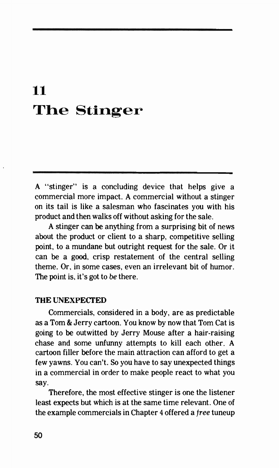# 11 The Stinger

A "stinger" is a concluding device that helps give a commercial more impact. A commercial without a stinger on its tail is like a salesman who fascinates you with his product and then walks off without asking for the sale.

A stinger can be anything from a surprising bit of news about the product or client to a sharp, competitive selling point, to a mundane but outright request for the sale. Or it can be a good, crisp restatement of the central selling theme. Or, in some cases, even an irrelevant bit of humor. The point is, it's got to be there.

#### THE UNEXPECTED

Commercials, considered in a body, are as predictable as a Tom & Jerry cartoon. You know by now that Tom Cat is going to be outwitted by Jerry Mouse after a hair-raising chase and some unfunny attempts to kill each other. A cartoon filler before the main attraction can afford to get a few yawns. You can't. So you have to say unexpected things in a commercial in order to make people react to what you say.

Therefore, the most effective stinger is one the listener least expects but which is at the same time relevant. One of the example commercials in Chapter 4 offered a free tuneup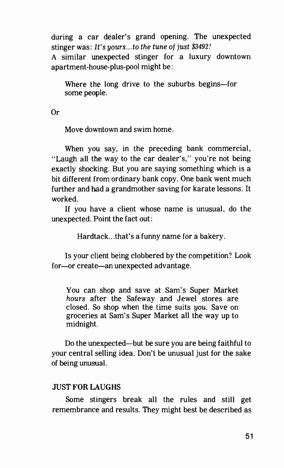during a car dealer's grand opening. The unexpected stinger was: It's yours...to the tune of just \$3492! A similar unexpected stinger for a luxury downtown apartment-house-plus-pool might be:

Where the long drive to the suburbs begins—for some people.

Or

Move downtown and swim home.

When you say, in the preceding bank commercial. "Laugh all the way to the car dealer's," you're not being exactly shocking. But you are saying something which is a bit different from ordinary bank copy. One bank went much further and had a grandmother saving for karate lessons. It worked.

If you have a client whose name is unusual, do the unexpected. Point the fact out :

Hardtack...that's a funny name for a bakery.

Is your client being clobbered by the competition? Look for—or create—an unexpected advantage.

You can shop and save at Sam's Super Market hours after the Safeway and Jewel stores are closed. So shop when the time suits you. Save on groceries at Sam's Super Market all the way up to midnight.

Do the unexpected—but be sure you are being faithful to your central selling idea. Don't be unusual just for the sake of being unusual.

### JUST FOR LAUGHS

Some stingers break all the rules and still get remembrance and results. They might best be described as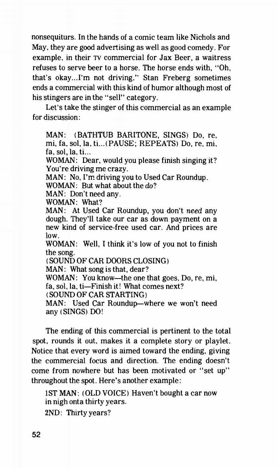nonsequiturs. In the hands of a comic team like Nichols and May, they are good advertising as well as good comedy. For example, in their TV commercial for Jax Beer, a waitress refuses to serve beer to a horse. The horse ends with, "Oh, that's okay.. I'm not driving." Stan Freberg sometimes ends a commercial with this kind of humor although most of his stingers are in the "sell" category.

Let's take the stinger of this commercial as an example for discussion:

MAN: (BATHTUB BARITONE, SINGS) Do, re, mi, fa, sol, la, ti... (PAUSE; REPEATS) Do, re, mi,  $fa, sol, la, ti...$ WOMAN: Dear, would you please finish singing it? You're driving me crazy. MAN: No, I'm driving you to Used Car Roundup. WOMAN: But what about the do? MAN: Don't need any. WOMAN: What? MAN: At Used Car Roundup, you don't need any dough. They'll take our car as down payment on a new kind of service-free used car. And prices are low. WOMAN: Well, I think it's low of you not to finish the song. ( SOUND OF CAR DOORS CLOSING) MAN: What song is that, dear? WOMAN: You know—the one that goes. Do, re, mi, fa, sol, la, ti—Finish it! What comes next? ( SOUND OF CAR STARTING) MAN: Used Car Roundup—where we won't need any (SINGS) DO!

The ending of this commercial is pertinent to the total spot, rounds it out, makes it a complete story or playlet. Notice that every word is aimed toward the ending, giving the commercial focus and direction. The ending doesn't come from nowhere but has been motivated or "set up" throughout the spot. Here's another example:

1ST MAN: (OLD VOICE) Haven't bought a car now in nigh onta thirty years. 2ND: Thirty years?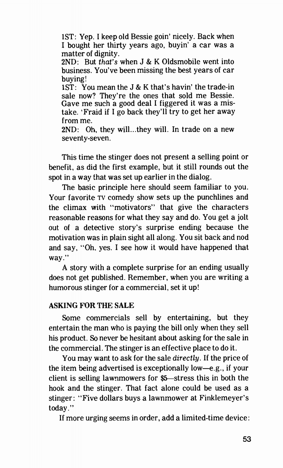1ST: Yep. I keep old Bessie goin' nicely. Back when I bought her thirty years ago, buyin' a car was a matter of dignity.

 $2ND:$  But that's when J & K Oldsmobile went into business. You've been missing the best years of car buying!

1ST: You mean the J & K that's havin' the trade-in sale now? They're the ones that sold me Bessie. Gave me such a good deal I figgered it was a mistake. `Fraid if I go back they'll try to get her away from me.

2ND: Oh, they will...they will. In trade on a new seventy-seven.

This time the stinger does not present a selling point or benefit, as did the first example, but it still rounds out the spot in a way that was set up earlier in the dialog.

The basic principle here should seem familiar to you. Your favorite TV comedy show sets up the punchlines and the climax with "motivators" that give the characters reasonable reasons for what they say and do. You get a jolt out of a detective story's surprise ending because the motivation was in plain sight all along. You sit back and nod and say, "Oh. yes. I see how it would have happened that way."

A story with a complete surprise for an ending usually does not get published. Remember, when you are writing a humorous stinger for a commercial, set it up!

### ASKING FOR THE SALE

Some commercials sell by entertaining, but they entertain the man who is paying the bill only when they sell his product. So never be hesitant about asking for the sale in the commercial. The stinger is an effective place to do it.

You may want to ask for the sale directly. If the price of the item being advertised is exceptionally low—e.g., if your client is selling lawnmowers for \$5—stress this in both the hook and the stinger. That fact alone could be used as a stinger: "Five dollars buys a lawnmower at Finklemeyer's today."

If more urging seems in order, add a limited-time device: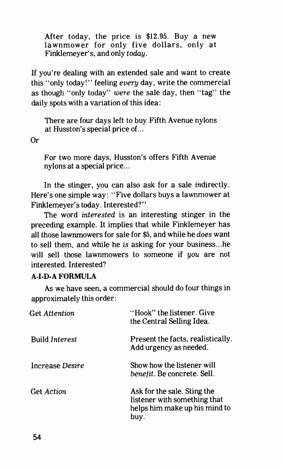After today, the price is \$12.95. Buy a new lawnmower for only five dollars, only at Finklemeyer's, and only today.

If you're dealing with an extended sale and want to create this "only today!" feeling every day, write the commercial as though "only today" were the sale day, then "tag" the daily spots with a variation of this idea:

There are four days left to buy Fifth Avenue nylons at Husston's special price of...

Or

For two more days, Husston's offers Fifth Avenue nylons at a special price...

In the stinger, you can also ask for a sale indirectly. Here's one simple way: "Five dollars buys a lawnmower at Finklemeyer's today. Interested?"

The word interested is an interesting stinger in the preceding example. It implies that while Finklemeyer has all those lawnmowers for sale for \$5, and while he does want to sell them, and while he is asking for your business...he will sell those lawnmowers to someone if you are not interested. Interested?

### A-I-D-A FORMULA

As we have seen, a commercial should do four things in approximately this order:

| <b>Get Attention</b>  | "Hook" the listener. Give<br>the Central Selling Idea.                                               |
|-----------------------|------------------------------------------------------------------------------------------------------|
| <b>Build Interest</b> | Present the facts, realistically.<br>Add urgency as needed.                                          |
| Increase Desire       | Show how the listener will<br>benefit. Be concrete. Sell.                                            |
| <b>Get Action</b>     | Ask for the sale. Sting the<br>listener with something that<br>helps him make up his mind to<br>buy. |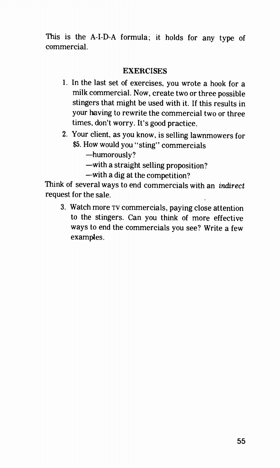This is the A-I-D-A formula; it holds for any type of commercial.

### **EXERCISES**

- 1. In the last set of exercises, you wrote a hook for a milk commercial. Now, create two or three possible stingers that might be used with it. If this results in your having to rewrite the commercial two or three times, don't worry. It's good practice.
- 2. Your client, as you know, is selling lawnmowers for \$5. How would you "sting" commercials
	- —humorously?
	- —with a straight selling proposition?
	- —with a dig at the competition?

Think of several ways to end commercials with an indirect request for the sale.

3. Watch more TV commercials, paying close attention to the stingers. Can you think of more effective ways to end the commercials you see? Write a few examples.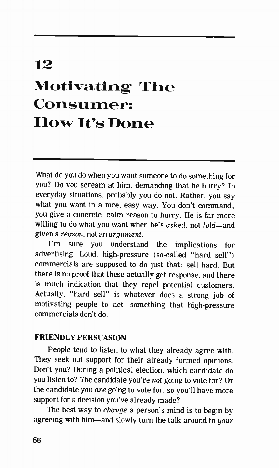# 12

# Motivating The Consumer: How It's Done

What do you do when you want someone to do something for you? Do you scream at him, demanding that he hurry? In everyday situations, probably you do not. Rather, you say what you want in a nice, easy way. You don't command; you give a concrete, calm reason to hurry. He is far more willing to do what you want when he's asked, not told—and given a reason, not an argument.

I'm sure you understand the implications for advertising. Loud, high-pressure (so-called "hard sell") commercials are supposed to do just that: sell hard. But there is no proof that these actually get response, and there is much indication that they repel potential customers. Actually, "hard sell" is whatever does a strong job of motivating people to act—something that high-pressure commercials don't do.

#### FRIENDLY PERSUASION

People tend to listen to what they already agree with. They seek out support for their already formed opinions. Don't you? During a political election, which candidate do you listen to? The candidate you're not going to vote for? Or the candidate you are going to vote for, so you'll have more support for a decision you've already made?

The best way to change a person's mind is to begin by agreeing with him—and slowly turn the talk around to your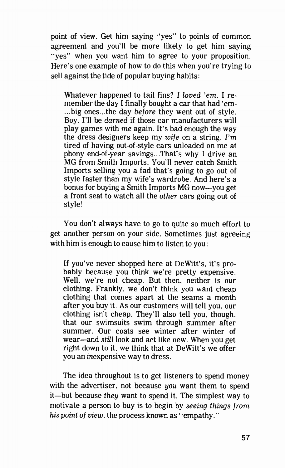point of view. Get him saying "yes" to points of common agreement and you'll be more likely to get him saying "yes" when you want him to agree to your proposition. Here's one example of how to do this when you're trying to sell against the tide of popular buying habits:

Whatever happened to tail fins? I loved 'em. I remember the day I finally bought a car that had 'em- ...big ones...the day before they went out of style. Boy. I'll be darned if those car manufacturers will play games with me again. It's bad enough the way the dress designers keep my wife on a string. I'm tired of having out-of-style cars unloaded on me at phony end-of-year savings...That's why I drive an MG from Smith Imports. You'll never catch Smith Imports selling you a fad that's going to go out of style faster than my wife's wardrobe. And here's a bonus for buying a Smith Imports MG now—you get a front seat to watch all the other cars going out of style!

You don't always have to go to quite so much effort to get another person on your side. Sometimes just agreeing with him is enough to cause him to listen to you:

If you've never shopped here at DeWitt's, it's probably because you think we're pretty expensive. Well, we're not cheap. But then, neither is our clothing. Frankly. we don't think you want cheap clothing that comes apart at the seams a month after you buy it. As our customers will tell you, our clothing isn't cheap. They'll also tell you, though. that our swimsuits swim through summer after summer. Our coats see winter after winter of wear—and still look and act like new. When you get right down to it, we think that at DeWitt's we offer you an inexpensive way to dress.

The idea throughout is to get listeners to spend money with the advertiser, not because you want them to spend it—but because they want to spend it. The simplest way to motivate a person to buy is to begin by seeing things from his point of view, the process known as "empathy."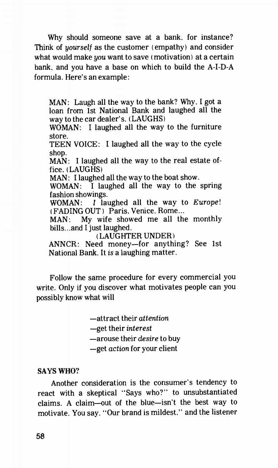Why should someone save at a bank. for instance? Think of *yourself* as the customer (empathy) and consider what would make you want to save (motivation) at a certain bank, and you have a base on which to build the A-I-D-A formula. Here's an example:

MAN: Laugh all the way to the bank? Why. I got a loan from 1st National Bank and laughed all the way to the car dealer's. ( LAUGHS) WOMAN: I laughed all the way to the furniture store. TEEN VOICE: I laughed all the way to the cycle shop. MAN: I laughed all the way to the real estate office. ( LAUGHS) MAN: I laughed all the way to the boat show. WOMAN: I laughed all the way to the spring fashion showings. WOMAN: I laughed all the way to Europe! ( FADING OUT ) Paris. Venice. Rome... MAN: My wife showed me all the monthly bills...and I just laughed. ( LAUGHTER UNDER) ANNCR: Need money—for anything? See 1st National Bank. It is a laughing matter.

Follow the same procedure for every commercial you write. Only if you discover what motivates people can you possibly know what will

—attract their attention

—get their interest

—arouse their desire to buy

—get action for your client

#### SAYS WHO?

Another consideration is the consumer's tendency to react with a skeptical "Says who?" to unsubstantiated claims. A claim—out of the blue—isn't the best way to motivate. You say, "Our brand is mildest," and the listener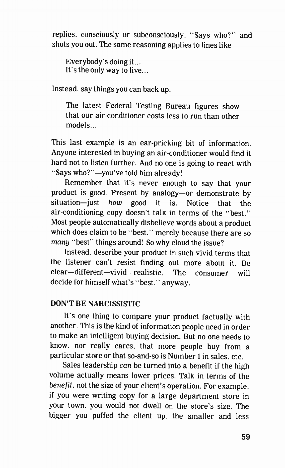replies. consciously or subconsciously. "Says who?" and shuts you out. The same reasoning applies to lines like

Everybody's doing it... It's the only way to live...

Instead, say things you can back up.

The latest Federal Testing Bureau figures show that our air-conditioner costs less to run than other models...

This last example is an ear-pricking bit of information. Anyone interested in buying an air-conditioner would find it hard not to listen further. And no one is going to react with "Says who?"—you've told him already!

Remember that it's never enough to say that your product is good. Present by analogy—or demonstrate by situation—just how good it is. Notice that the air-conditioning copy doesn't talk in terms of the "best." Most people automatically disbelieve words about a product which does claim to be "best." merely because there are so many "best" things around! So why cloud the issue?

Instead, describe your product in such vivid terms that the listener can't resist finding out more about it. Be clear—different—vivid—realistic. The consumer will decide for himself what's "best." anyway.

## DON'T BE NARCISSISTIC

It's one thing to compare your product factually with another. This is the kind of information people need in order to make an intelligent buying decision. But no one needs to know, nor really cares, that more people buy from a particular store or that so-and-so is Number 1 in sales, etc.

Sales leadership can be turned into a benefit if the high volume actually means lower prices. Talk in terms of the benefit, not the size of your client's operation. For example. if you were writing copy for a large department store in your town, you would not dwell on the store's size. The bigger you puffed the client up, the smaller and less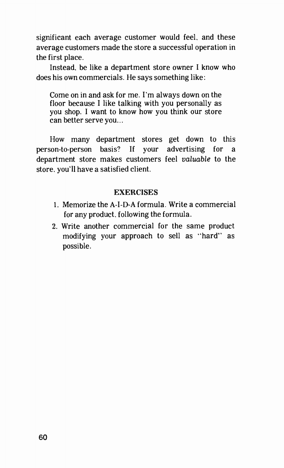significant each average customer would feel, and these average customers made the store a successful operation in the first place.

Instead. be like a department store owner I know who does his own commercials. He says something like:

Come on in and ask for me. I'm always down on the floor because I like talking with you personally as you shop. I want to know how you think our store can better serve you...

How many department stores get down to this person-to-person basis? If your advertising for a department store makes customers feel valuable to the store. you'll have a satisfied client.

### **EXERCISES**

- 1. Memorize the A-I-D-A formula. Write a commercial for any product. following the formula.
- 2. Write another commercial for the same product modifying your approach to sell as "hard" as possible.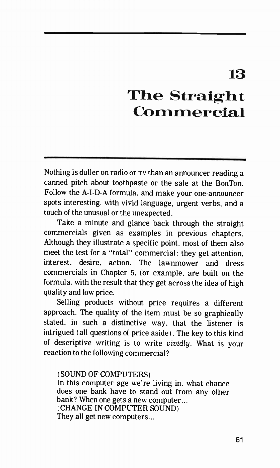# 13

# The Straight Commercial

Nothing is duller on radio or  $\tau v$  than an announcer reading a canned pitch about toothpaste or the sale at the BonTon. Follow the A-I-D-A formula, and make your one-announcer spots interesting, with vivid language, urgent verbs, and a touch of the unusual or the unexpected.

Take a minute and glance back through the straight commercials given as examples in previous chapters. Although they illustrate a specific point, most of them also meet the test for a "total" commercial: they get attention, interest, desire. action. The lawnmower and dress commercials in Chapter 5, for example, are built on the formula, with the result that they get across the idea of high quality and low price.

Selling products without price requires a different approach. The quality of the item must be so graphically stated. in such a distinctive way, that the listener is intrigued ( all questions of price aside). The key to this kind of descriptive writing is to write vividly. What is your reaction to the following commercial?

#### ( SOUND OF COMPUTERS)

In this computer age we're living in, what chance does one bank have to stand out from any other bank? When one gets a new computer... ( CHANGE IN COMPUTER SOUND) They all get new computers...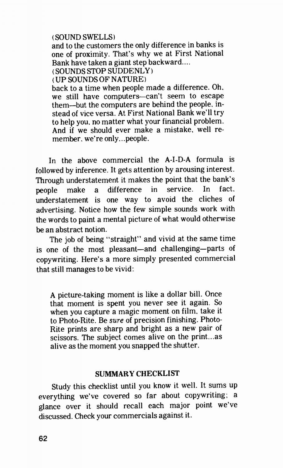#### ( SOUND SWELLS)

and to the customers the only difference in banks is one of proximity. That's why we at First National Bank have taken a giant step backward....

( SOUNDS STOP SUDDENLY)

( UP SOUNDS OF NATURE)

back to a time when people made a difference. Oh, we still have computers—can't seem to escape them—but the computers are behind the people, instead of vice versa. At First National Bank we'll try to help you. no matter what your financial problem. And if we should ever make a mistake, well remember. we're only.. .people.

In the above commercial the A-I-D-A formula is followed by inference. It gets attention by arousing interest. Through understatement it makes the point that the bank's people make a difference in service. In fact. understatement is one way to avoid the cliches of advertising. Notice how the few simple sounds work with the words to paint a mental picture of what would otherwise be an abstract notion.

The job of being "straight" and vivid at the same time is one of the most pleasant—and challenging—parts of copywriting. Here's a more simply presented commercial that still manages to be vivid:

A picture-taking moment is like a dollar bill. Once that moment is spent you never see it again. So when you capture a magic moment on film, take it to Photo-Rite. Be sure of precision finishing. Photo-Rite prints are sharp and bright as a new pair of scissors. The subject comes alive on the print.., as alive as the moment you snapped the shutter.

### SUMMARY CHECKLIST

Study this checklist until you know it well. It sums up everything we've covered so far about copywriting; a glance over it should recall each major point we've discussed. Check your commercials against it.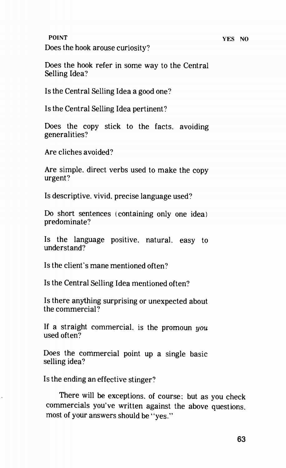#### POINT YES NO

Does the hook arouse curiosity?

Does the hook refer in some way to the Central Selling Idea?

Is the Central Selling Idea a good one?

Is the Central Selling Idea pertinent?

Does the copy stick to the facts, avoiding generalities?

Are cliches avoided?

Are simple. direct verbs used to make the copy urgent?

Is descriptive, vivid, precise language used?

Do short sentences ( containing only one idea) predominate?

Is the language positive, natural, easy to understand?

Is the client's mane mentioned often?

Is the Central Selling Idea mentioned often?

Is there anything surprising or unexpected about the commercial?

If a straight commercial, is the promoun  $you$ used often?

Does the commercial point up a single basic selling idea?

Is the ending an effective stinger?

There will be exceptions. of course; but as you check commercials you've written against the above questions. most of your answers should be "yes."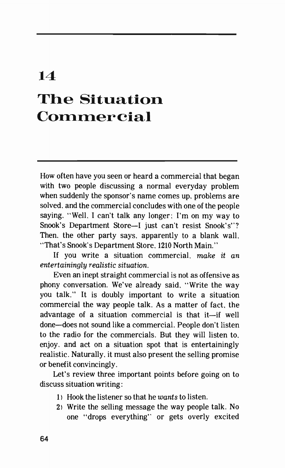# 14 The Situation Commercial

How often have you seen or heard a commercial that began with two people discussing a normal everyday problem when suddenly the sponsor's name comes up, problems are solved, and the commercial concludes with one of the people saying, "Well. I can't talk any longer; I'm on my way to Snook's Department Store—I just can't resist Snook's"? Then, the other party says. apparently to a blank wall, "That's Snook's Department Store, 1210 North Main."

If you write a situation commercial, make it an entertainingly realistic situation.

Even an inept straight commercial is not as offensive as phony conversation. We've already said, "Write the way you talk." It is doubly important to write a situation commercial the way people talk. As a matter of fact, the advantage of a situation commercial is that it—if well done—does not sound like a commercial. People don't listen to the radio for the commercials. But they will listen to. enjoy. and act on a situation spot that is entertainingly realistic. Naturally, it must also present the selling promise or benefit convincingly.

Let's review three important points before going on to discuss situation writing:

- 1) Hook the listener so that he wants to listen.
- 2) Write the selling message the way people talk. No one "drops everything" or gets overly excited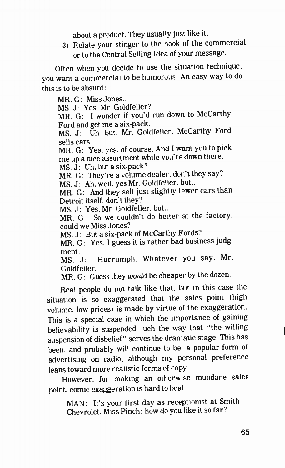about a product. They usually just like it.

3) Relate your stinger to the hook of the commercial or to the Central Selling Idea of your message.

Often when you decide to use the situation technique, you want a commercial to be humorous. An easy way to do this is to be absurd:

MR. G: Miss Jones... MS. J: Yes, Mr. Goldfeller? MR. G: I wonder if you'd run down to McCarthy Ford and get me a six-pack. MS. J: Uh. but, Mr. Goldfeller, McCarthy Ford sells cars.<br>MR. G: Yes, yes, of course. And I want you to pick me up a nice assortment while you're down there.  $MS. J: Uh. but a six-back?$ MR. G: They're a volume dealer, don't they say? MS. J: Ah. well, yes Mr. Goldfeller, but...

MR. G: And they sell just slightly fewer cars than Detroit itself, don't they?

MS. J: Yes, Mr. Goldfeller, but...

MR. G: So we couldn't do better at the factory. could we Miss Jones?

MS. J: But a six-pack of McCarthy Fords?

MR. G: Yes, I guess it is rather bad business judgment.

MS. J: Hurrumph. Whatever you say. Mr. Goldfeller.

MR. G: Guess they would be cheaper by the dozen.

Real people do not talk like that, but in this case the situation is so exaggerated that the sales point (high volume, low prices) is made by virtue of the exaggeration. This is a special case in which the importance of gaining believability is suspended uch the way that "the willing suspension of disbelief" serves the dramatic stage. This has been. and probably will continue to be, a popular form of advertising on radio, although my personal preference leans toward more realistic forms of copy.

However, for making an otherwise mundane sales point, comic exaggeration is hard to beat:

MAN: It's your first day as receptionist at Smith Chevrolet. Miss Pinch; how do you like it so far?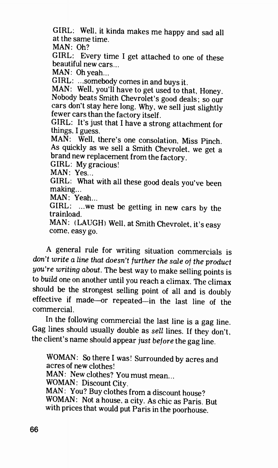GIRL: Well, it kinda makes me happy and sad all at the same time.

MAN: Oh?

GIRL: Every time I get attached to one of these beautiful new cars...

MAN: Oh yeah...

GIRL: ...somebody comes in and buys it.

MAN: Well, you'll have to get used to that, Honey. Nobody beats Smith Chevrolet's good deals; so our cars don't stay here long. Why, we sell just slightly fewer cars than the factory itself.

GIRL: It's just that I have a strong attachment for things. I guess.

MAN: Well, there's one consolation, Miss Pinch. As quickly as we sell a Smith Chevrolet. we get a brand new replacement from the factory.

GIRL: My gracious!

MAN: Yes...

GIRL: What with all these good deals you've been making...

MAN: Yeah...

GIRL: ...we must be getting in new cars by the trainload.

MAN: ( LAUGH) Well, at Smith Chevrolet, it's easy come, easy go.

A general rule for writing situation commercials is don't write a line that doesn't further the sale of the product you're writing about. The best way to make selling points is to build one on another until you reach a climax. The climax should be the strongest selling point of all and is doubly effective if made—or repeated—in the last line of the commercial.

In the following commercial the last line is a gag line. Gag lines should usually double as sell lines. If they don't. the client's name should appear just before the gag line.

WOMAN: So there I was! Surrounded by acres and acres of new clothes! MAN: New clothes? You must mean... WOMAN: Discount City. MAN: You? Buy clothes from a discount house? WOMAN: Not a house, a city. As chic as Paris. But with prices that would put Paris in the poorhouse.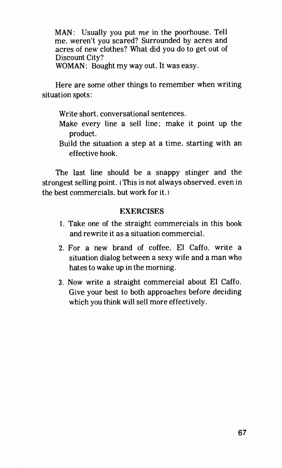MAN: Usually you put  $me$  in the poorhouse. Tell me. weren't you scared? Surrounded by acres and acres of new clothes? What did you do to get out of Discount City? WOMAN: Bought my way out. It was easy.

Here are some other things to remember when writing situation spots:

Write short, conversational sentences.

- Make every line a sell line: make it point up the product.
- Build the situation a step at a time. starting with an effective hook.

The last line should be a snappy stinger and the strongest selling point. ( This is not always observed, even in the best commercials, but work for it. )

### **EXERCISES**

- 1. Take one of the straight commercials in this book and rewrite it as a situation commercial.
- 2. For a new brand of coffee. El Caffo, write a situation dialog between a sexy wife and a man who hates to wake up in the morning.
- 3. Now write a straight commercial about El Caffo. Give your best to both approaches before deciding which you think will sell more effectively.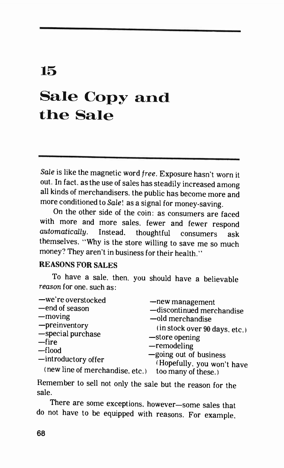# 15

# Sale Copy and the Sale

Sale is like the magnetic word free. Exposure hasn't worn it out. In fact, as the use of sales has steadily increased among all kinds of merchandisers, the public has become more and more conditioned to Sale! as a signal for money-saving.

On the other side of the coin: as consumers are faced with more and more sales, fewer and fewer respond automatically. Instead, thoughtful consumers ask themselves, "Why is the store willing to save me so much money? They aren't in business for their health."

### REASONS FOR SALES

To have a sale, then, you should have a believable reason for one, such as:

| -we're overstocked              | -new management               |
|---------------------------------|-------------------------------|
| -end of season                  | -discontinued merchandise     |
| —moving                         | -old merchandise              |
| -preinventory                   | (in stock over 90 days, etc.) |
| -special purchase               | -store opening                |
| -fire                           | $-$ remodeling                |
| —flood                          | -going out of business        |
| -introductory offer             | (Hopefully, you won't have    |
| (new line of merchandise, etc.) | too many of these.)           |
|                                 |                               |

Remember to sell not only the sale but the reason for the sale.

There are some exceptions, however—some sales that do not have to be equipped with reasons. For example,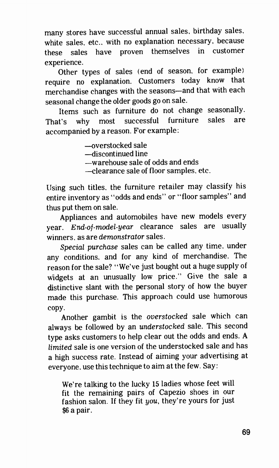many stores have successful annual sales, birthday sales, white sales. etc.. with no explanation necessary, because these sales have proven themselves in customer experience.

Other types of sales (end of season, for example) require no explanation. Customers today know that merchandise changes with the seasons—and that with each seasonal change the older goods go on sale.

Items such as furniture do not change seasonally. That's why most successful furniture sales are accompanied by a reason. For example:

> —overstocked sale —discontinued line —warehouse sale of odds and ends —clearance sale of floor samples, etc.

Using such titles, the furniture retailer may classify his entire inventory as "odds and ends" or "floor samples" and thus put them on sale.

Appliances and automobiles have new models every year. End-of-model-year clearance sales are usually winners, as are demonstrator sales.

Special purchase sales can be called any time, under any conditions. and for any kind of merchandise. The reason for the sale? "We've just bought out a huge supply of widgets at an unusually low price." Give the sale a distinctive slant with the personal story of how the buyer made this purchase. This approach could use humorous copy.

Another gambit is the overstocked sale which can always be followed by an understocked sale. This second type asks customers to help clear out the odds and ends. A limited sale is one version of the understocked sale and has a high success rate. Instead of aiming your advertising at everyone, use this technique to aim at the few. Say:

We're talking to the lucky 15 ladies whose feet will fit the remaining pairs of Capezio shoes in our fashion salon. If they fit you, they're yours for just \$6 a pair.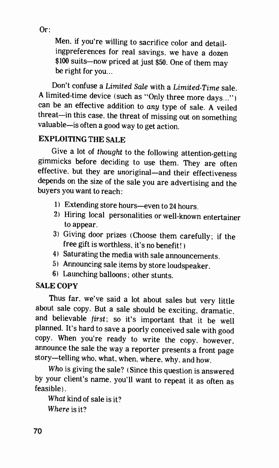Or:

Men, if you're willing to sacrifice color and detailingpreferences for real savings, we have a dozen \$100 suits—now priced at just \$50. One of them may be right for you...

Don't confuse a Limited Sale with a Limited-Time sale. A limited-time device (such as "Only three more days..." ) can be an effective addition to any type of sale. A veiled threat—in this case, the threat of missing out on something valuable—is often a good way to get action.

## EXPLOITING THE SALE

Give a lot of thought to the following attention-getting gimmicks before deciding to use them. They are often effective, but they are unoriginal—and their effectiveness depends on the size of the sale you are advertising and the buyers you want to reach:

- 11 Extending store hours—even to 24 hours.
- 2) Hiring local personalities or well-known entertainer to appear.
- 3) Giving door prizes (Choose them carefully; if the free gift is worthless, it's no benefit! )
- 4) Saturating the media with sale announcements.
- 5) Announcing sale items by store loudspeaker.
- 6) Launching balloons; other stunts.

# SALE COPY

Thus far, we've said a lot about sales but very little about sale copy. But a sale should be exciting, dramatic, and believable first; so it's important that it be well planned. It's hard to save a poorly conceived sale with good copy. When you're ready to write the copy, however. announce the sale the way a reporter presents a front page story—telling who, what, when, where, why, and how.

Who is giving the sale? ( Since this question is answered by your client's name, you'll want to repeat it as often as feasible).

What kind of sale is it? Where is it?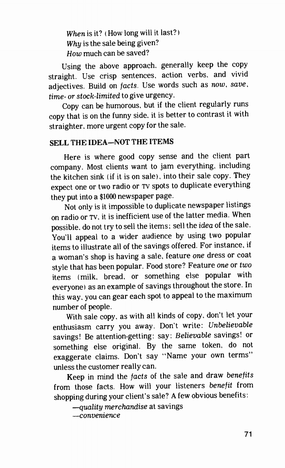When is it? (How long will it last?) Why is the sale being given? How much can be saved?

Using the above approach, generally keep the copy straight. Use crisp sentences, action verbs, and vivid adjectives. Build on facts. Use words such as now, save, time- or stock-limited to give urgency.

Copy can be humorous, but if the client regularly runs copy that is on the funny side. it is better to contrast it with straighter. more urgent copy for the sale.

## SELL THE IDEA—NOT THE ITEMS

Here is where good copy sense and the client part company. Most clients want to jam everything, including the kitchen sink (if it is on sale), into their sale copy. They expect one or two radio or TV spots to duplicate everything they put into a \$1000 newspaper page.

Not only is it impossible to duplicate newspaper listings on radio or TV. it is inefficient use of the latter media. When possible. do not try to sell the items; sell the idea of the sale. You'll appeal to a wider audience by using two popular items to illustrate all of the savings offered. For instance, if a woman's shop is having a sale, feature one dress or coat style that has been popular. Food store? Feature one or two items (milk. bread. or something else popular with everyone) as an example of savings throughout the store. In this way. you can gear each spot to appeal to the maximum number of people.

With sale copy. as with all kinds of copy, don't let your enthusiasm carry you away. Don't write: Unbelievable savings! Be attention-getting: say: Believable savings! or something else original. By the same token, do not exaggerate claims. Don't say "Name your own terms" unless the customer really can.

Keep in mind the facts of the sale and draw benefits from those facts. How will your listeners benefit from shopping during your client's sale? A few obvious benefits:

—quality merchandise at savings —convenience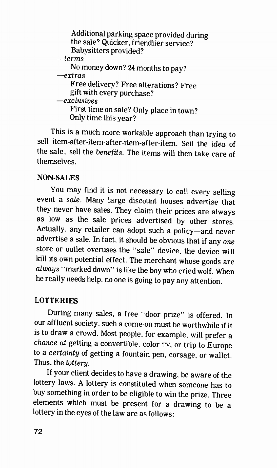| Additional parking space provided during |
|------------------------------------------|
| the sale? Quicker, friendlier service?   |
| Babysitters provided?                    |
| $-terms$                                 |
| No money down? 24 months to pay?         |
| $-ertras$                                |
| Free delivery? Free alterations? Free    |
| gift with every purchase?                |
| $-exclusions$                            |
| First time on sale? Only place in town?  |
| Only time this year?                     |

This is a much more workable approach than trying to sell item after-item-after-item-after-item. Sell the idea of the sale; sell the benefits. The items will then take care of themselves.

# NON-SALES

You may find it is not necessary to call every selling event a sale. Many large discount houses advertise that they never have sales. They claim their prices are always as low as the sale prices advertised by other stores. Actually. any retailer can adopt such a policy—and never advertise a sale. In fact, it should be obvious that if any one store or outlet overuses the "sale" device, the device will kill its own potential effect. The merchant whose goods are alwaus "marked down" is like the boy who cried wolf. When he really needs help, no one is going to pay any attention.

# **LOTTERIES**

During many sales, a free "door prize" is offered. In our affluent society, such a come-on must be worthwhile if it is to draw a crowd. Most people, for example, will prefer a chance at getting a convertible, color TV, or trip to Europe to a certainty of getting a fountain pen, corsage, or wallet. Thus. the lottery.

If your client decides to have a drawing, be aware of the lottery laws. A lottery is constituted when someone has to buy something in order to be eligible to win the prize. Three elements which must be present for a drawing to be a lottery in the eyes of the law are as follows: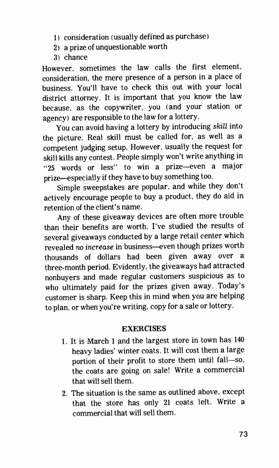- 1) consideration (usually defined as purchase)
- 2) a prize of unquestionable worth
- 3) chance

However, sometimes the law calls the first element, consideration. the mere presence of a person in a place of business. You'll have to check this out with your local district attorney. It is important that you know the law because. as the copywriter, you (and your station or agency) are responsible to the law for a lottery.

You can avoid having a lottery by introducing skill into the picture. Real skill must be called for, as well as a competent judging setup. However, usually the request for skill kills any contest. People simply won't write anything in "25 words or less" to win a prize—even a major prize—especially if they have to buy something too.

Simple sweepstakes are popular, and while they don't actively encourage people to buy a product, they do aid in retention of the client's name.

Any of these giveaway devices are often more trouble than their benefits are worth. I've studied the results of several giveaways conducted by a large retail center which revealed no increase in business—even though prizes worth thousands of dollars had been given away over a three-month period. Evidently, the giveaways had attracted nonbuyers and made regular customers suspicious as to who ultimately paid for the prizes given away. Today's customer is sharp. Keep this in mind when you are helping to plan. or when you're writing, copy for a sale or lottery.

# **EXERCISES**

- 1. It is March 1 and the largest store in town has 140 heavy ladies' winter coats. It will cost them a large portion of their profit to store them until fall—so. the coats are going on sale! Write a commercial that will sell them.
- 2. The situation is the same as outlined above, except that the store has only 21 coats left. Write a commercial that will sell them.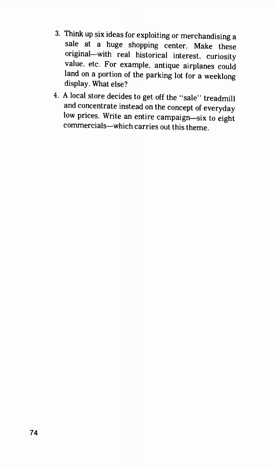- 3. Think up six ideas for exploiting or merchandising a sale at a huge shopping center. Make these original—with real historical interest, curiosity value. etc. For example, antique airplanes could land on a portion of the parking lot for a weeklong display. What else?
- 4. A local store decides to get off the "sale" treadmill and concentrate instead on the concept of everyday low prices. Write an entire campaign—six to eight commercials—which carries out this theme.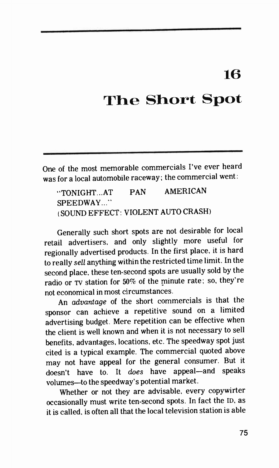# 16

# The Short Spot

One of the most memorable commercials I've ever heard was for a local automobile raceway; the commercial went:

'TONIGHT.. .AT PAN AMERICAN SPEEDWAY..." ( SOUND EFFECT: VIOLENT AUTO CRASH)

Generally such short spots are not desirable for local retail advertisers, and only slightly more useful for regionally advertised products. In the first place, it is hard to really sell anything within the restricted time limit. In the second place. these ten-second spots are usually sold by the radio or TV station for 50% of the minute rate; so, they're not economical in most circumstances.

An advantage of the short commercials is that the sponsor can achieve a repetitive sound on a limited advertising budget. Mere repetition can be effective when the client is well known and when it is not necessary to sell benefits, advantages, locations, etc. The speedway spot just cited is a typical example. The commercial quoted above may not have appeal for the general consumer. But it doesn't have to. It does have appeal—and speaks volumes—to the speedway's potential market.

Whether or not they are advisable, every copywirter occasionally must write ten-second spots. In fact the ID, as it is called, is often all that the local television station is able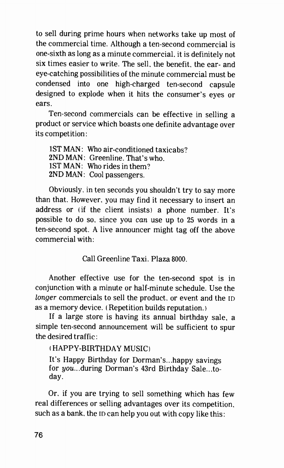to sell during prime hours when networks take un most of the commercial time. Although a ten-second commercial is one-sixth as long as a minute commercial, it is definitely not six times easier to write. The sell, the benefit, the ear- and eye-catching possibilities of the minute commercial must be condensed into one high-charged ten-second capsule designed to explode when it hits the consumer's eyes or ears.

Ten-second commercials can be effective in selling a product or service which boasts one definite advantage over its competition:

1ST MAN: Who air-conditioned taxicabs? 2ND MAN: Greenline. That's who. 1ST MAN: Who rides in them? 2ND MAN: Cool passengers.

Obviously, in ten seconds you shouldn't try to say more than that. However, you may find it necessary to insert an address or (if the client insists) a phone number. It's possible to do so. since you can use up to 25 words in a ten-second spot. A live announcer might tag off the above commercial with:

Call Greenline Taxi. Plaza 8000.

Another effective use for the ten-second spot is in conjunction with a minute or half-minute schedule. Use the longer commercials to sell the product, or event and the ID as a memory device. ( Repetition builds reputation. )

If a large store is having its annual birthday sale, a simple ten-second announcement will be sufficient to spur the desired traffic:

( HAPPY-BIRTHDAY MUSIC)

It's Happy Birthday for Dorman's...happy savings for you...during Dorman's 43rd Birthday Sale...today.

Or, if you are trying to sell something which has few real differences or selling advantages over its competition. such as a bank. the ID can help you out with copy like this: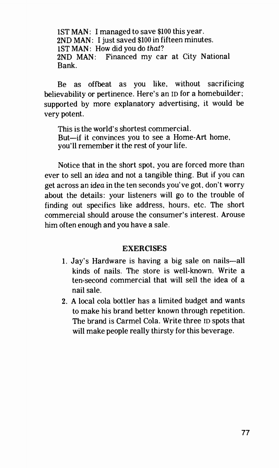1ST MAN: I managed to save \$100 this year. 2ND MAN: I just saved \$100 in fifteen minutes. 1ST MAN: How did you do that? 2ND MAN: Financed my car at City National Bank.

Be as offbeat as you like, without sacrificing believability or pertinence. Here's an ID for a homebuilder; supported by more explanatory advertising, it would be very potent.

This is the world's shortest commercial. But—if it convinces you to see a Home-Art home, you'll remember it the rest of your life.

Notice that in the short spot, you are forced more than ever to sell an idea and not a tangible thing. But if you can get across an idea in the ten seconds you've got, don't worry about the details: your listeners will go to the trouble of finding out specifics like address, hours, etc. The short commercial should arouse the consumer's interest. Arouse him often enough and you have a sale.

# **EXERCISES**

- 1. Jay's Hardware is having a big sale on nails—all kinds of nails. The store is well-known. Write a ten-second commercial that will sell the idea of a nail sale.
- 2. A local cola bottler has a limited budget and wants to make his brand better known through repetition. The brand is Carmel Cola. Write three ID spots that will make people really thirsty for this beverage.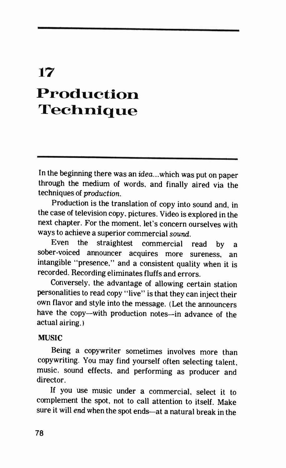# 17 Production Technique

In the beginning there was an idea...which was put on paper through the medium of words, and finally aired via the techniques of production.

Production is the translation of copy into sound and, in the case of television copy, pictures. Video is explored in the next chapter. For the moment, let's concern ourselves with ways to achieve a superior commercial sound.

Even the straightest commercial read by a sober-voiced announcer acquires more sureness, an intangible "presence," and a consistent quality when it is recorded. Recording eliminates fluffs and errors.

Conversely, the advantage of allowing certain station personalities to read copy "live" is that they can inject their own flavor and style into the message. (Let the announcers have the copy—with production notes—in advance of the actual airing.)

# MUSIC

Being a copywriter sometimes involves more than copywriting. You may find yourself often selecting talent, music. sound effects, and performing as producer and director.

If you use music under a commercial, select it to complement the spot, not to call attention to itself. Make sure it will end when the spot ends—at a natural break in the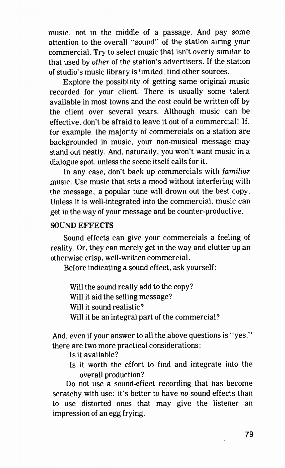music. not in the middle of a passage. And pay some attention to the overall "sound" of the station airing your commercial. Try to select music that isn't overly similar to that used by other of the station's advertisers. If the station of studio's music library is limited, find other sources.

Explore the possibility of getting same original music recorded for your client. There is usually some talent available in most towns and the cost could be written off by the client over several years. Although music can be effective, don't be afraid to leave it out of a commercial! If, for example. the majority of commercials on a station are backgrounded in music, your non-musical message may stand out neatly. And, naturally, you won't want music in a dialogue spot, unless the scene itself calls for it.

In any case. don't back up commercials with familiar music. Use music that sets a mood without interfering with the message; a popular tune will drown out the best copy. Unless it is well-integrated into the commercial, music can get in the way of your message and be counter-productive.

# SOUND EFFECTS

Sound effects can give your commercials a feeling of reality. Or. they can merely get in the way and clutter up an otherwise crisp, well-written commercial.

Before indicating a sound effect. ask yourself:

Will the sound really add to the copy? Will it aid the selling message? Will it sound realistic? Will it be an integral part of the commercial?

And. even if your answer to all the above questions is "yes," there are two more practical considerations:

Is it available?

Is it worth the effort to find and integrate into the overall production?

Do not use a sound-effect recording that has become scratchy with use; it's better to have no sound effects than to use distorted ones that may give the listener an impression of an egg frying.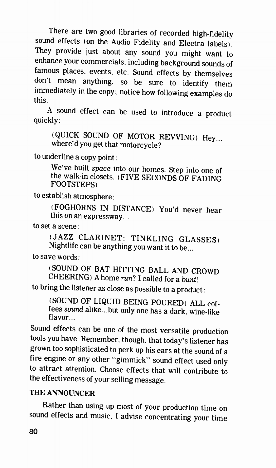There are two good libraries of recorded high-fidelity sound effects (on the Audio Fidelity and Electra labels). They provide just about any sound you might want to enhance your commercials, including background sounds of famous places, events, etc. Sound effects by themselves don't mean anything, so be sure to identify them immediately in the copy; notice how following examples do this.

A sound effect can be used to introduce a product quickly:

(QUICK SOUND OF MOTOR REVVING) Hey... where'd you get that motorcycle?

to underline a copy point :

We've built space into our homes. Step into one of the walk-in closets. (FIVE SECONDS OF FADING FOOTSTEPS)

to establish atmosphere:

(FOGHORNS IN DISTANCE) You'd never hear this on an expressway...

to set a scene:

(JAZZ CLARINET; TINKLING GLASSES) Nightlife can be anything you want it to be...

to save words:

(SOUND OF BAT HITTING BALL AND CROWD CHEERING) A home run? I called for a bunt!

to bring the listener as close as possible to a product:

(SOUND OF LIQUID BEING POURED) ALL coffees sound alike...but only one has a dark, wine-like flavor...

Sound effects can be one of the most versatile production tools you have. Remember, though, that today's listener has grown too sophisticated to perk up his ears at the sound of a fire engine or any other "gimmick" sound effect used only to attract attention. Choose effects that will contribute to the effectiveness of your selling message.

# THE ANNOUNCER

Rather than using up most of your production time on sound effects and music. I advise concentrating your time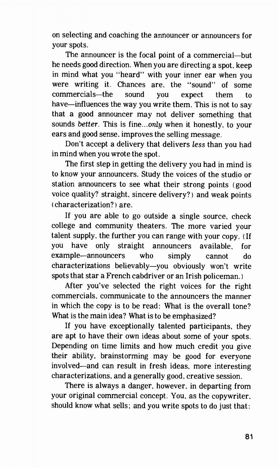on selecting and coaching the announcer or announcers for your spots.

The announcer is the focal point of a commercial—but he needs good direction. When you are directing a spot, keep in mind what you "heard" with your inner ear when you were writing it. Chances are, the "sound" of some commercials—the sound you expect them to have—influences the way you write them. This is not to say that a good announcer may not deliver something that sounds better. This is fine...only when it honestly, to your ears and good sense, improves the selling message.

Don't accept a delivery that delivers less than you had in mind when you wrote the spot.

The first step in getting the delivery you had in mind is to know your announcers. Study the voices of the studio or station announcers to see what their strong points (good voice quality? straight, sincere delivery?) and weak points ( characterization? ) are.

If you are able to go outside a single source, check college and community theaters. The more varied your talent supply. the further you can range with your copy. (If you have only straight announcers available, for example—announcers who simply cannot do characterizations believably—you obviously won't write spots that star a French cabdriver or an Irish policeman.)

After you've selected the right voices for the right commercials, communicate to the announcers the manner in which the copy is to be read: What is the overall tone? What is the main idea? What is to be emphasized?

If you have exceptionally talented participants, they are apt to have their own ideas about some of your spots. Depending on time limits and how much credit you give their ability, brainstorming may be good for everyone involved—and can result in fresh ideas, more interesting characterizations, and a generally good, creative session.

There is always a danger, however, in departing from your original commercial concept. You, as the copywriter. should know what sells; and you write spots to do just that: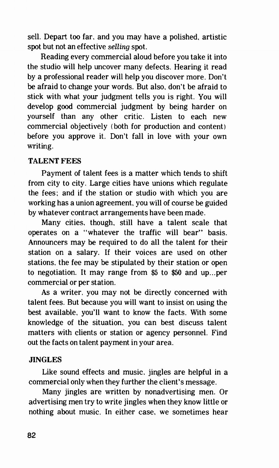sell. Depart too far, and you may have a polished, artistic spot but not an effective selling spot.

Reading every commercial aloud before you take it into the studio will help uncover many defects. Hearing it read by a professional reader will help you discover more. Don't be afraid to change your words. But also, don't be afraid to stick with what your judgment tells you is right. You will develop good commercial judgment by being harder on yourself than any other critic. Listen to each new commercial objectively (both for production and content) before you approve it. Don't fall in love with your own writing.

# TALENT FEES

Payment of talent fees is a matter which tends to shift from city to city. Large cities have unions which regulate the fees; and if the station or studio with which you are working has a union agreement, you will of course be guided by whatever contract arrangements have been made.

Many cities, though, still have a talent scale that operates on a "whatever the traffic will bear" basis. Announcers may be required to do all the talent for their station on a salary. If their voices are used on other stations, the fee may be stipulated by their station or open to negotiation. It may range from \$5 to \$50 and up...per commercial or per station.

As a writer, you may not be directly concerned with talent fees. But because you will want to insist on using the best available, you'll want to know the facts. With some knowledge of the situation, you can best discuss talent matters with clients or station or agency personnel. Find out the facts on talent payment in your area.

# **JINGLES**

Like sound effects and music, jingles are helpful in a commercial only when they further the client's message.

Many jingles are written by nonadvertising men. Or advertising men try to write jingles when they know little or nothing about music. In either case, we sometimes hear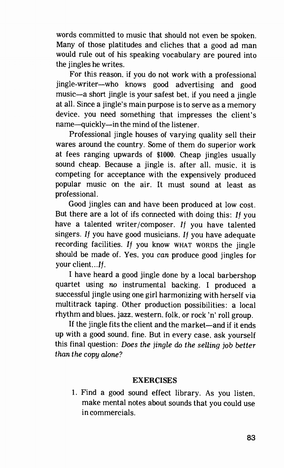words committed to music that should not even be spoken. Many of those platitudes and cliches that a good ad man would rule out of his speaking vocabulary are poured into the jingles he writes.

For this reason, if you do not work with a professional jingle-writer—who knows good advertising and good music—a short jingle is your safest bet. if you need a jingle at all. Since a jingle's main purpose is to serve as a memory device, you need something that impresses the client's name—quickly—in the mind of the listener.

Professional jingle houses of varying quality sell their wares around the country. Some of them do superior work at fees ranging upwards of \$1000. Cheap jingles usually sound cheap. Because a jingle is. after all, music, it is competing for acceptance with the expensively produced popular music on the air. It must sound at least as professional.

Good jingles can and have been produced at low cost. But there are a lot of ifs connected with doing this:  $If you$ have a talented writer/composer. If you have talented singers. If you have good musicians. If you have adequate recording facilities. If you know WHAT WORDS the jingle should be made of. Yes, you can produce good jingles for your client...If.

I have heard a good jingle done by a local barbershop quartet using no instrumental backing. I produced a successful jingle using one girl harmonizing with herself via multitrack taping. Other production possibilities: a local rhythm and blues, jazz. western, folk, or rock 'n' roll group.

If the jingle fits the client and the market—and if it ends up with a good sound. fine. But in every case, ask yourself this final question: Does the jingle do the selling job better than the copy alone?

# EXERCISES

1. Find a good sound effect library. As you listen, make mental notes about sounds that you could use in commercials.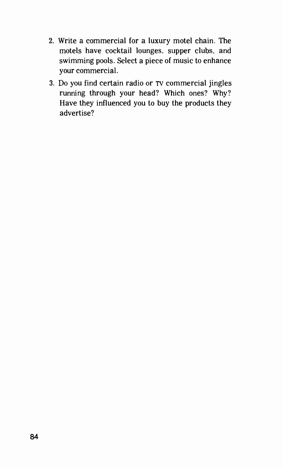- 2. Write a commercial for a luxury motel chain. The motels have cocktail lounges, supper clubs, and swimming pools. Select a piece of music to enhance your commercial.
- 3. Do you find certain radio or TV commercial jingles running through your head? Which ones? Why? Have they influenced you to buy the products they advertise?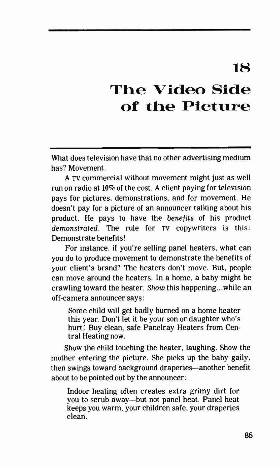# 18

# The Video Side of the Picture

What does television have that no other advertising medium has? Movement.

A TV commercial without movement might just as well run on radio at 10% of the cost. A client paying for television pays for pictures, demonstrations, and for movement. He doesn't pay for a picture of an announcer talking about his product. He pays to have the benefits of his product demonstrated. The rule for TV copywriters is this: Demonstrate benefits!

For instance, if you're selling panel heaters, what can you do to produce movement to demonstrate the benefits of your client's brand? The heaters don't move. But, people can move around the heaters. In a home, a baby might be crawling toward the heater. Show this happening...while an off-camera announcer says:

Some child will get badly burned on a home heater this year. Don't let it be your son or daughter who's hurt! Buy clean, safe Panelray Heaters from Central Heating now.

Show the child touching the heater, laughing. Show the mother entering the picture. She picks up the baby gaily, then swings toward background draperies—another benefit about to be pointed out by the announcer:

Indoor heating often creates extra grimy dirt for you to scrub away—but not panel heat. Panel heat keeps you warm, your children safe, your draperies clean.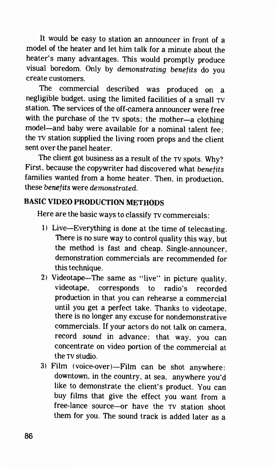It would be easy to station an announcer in front of a model of the heater and let him talk for a minute about the heater's many advantages. This would promptly produce visual boredom. Only by demonstrating benefits do you create customers.

The commercial described was produced on a negligible budget. using the limited facilities of a small TV station. The services of the off-camera announcer were free with the purchase of the TV spots; the mother—a clothing model—and baby were available for a nominal talent fee; the TV station supplied the living room props and the client sent over the panel heater.

The client got business as a result of the TV spots. Why? First, because the copywriter had discovered what benefits families wanted from a home heater. Then, in production, these benefits were demonstrated.

# BASIC VIDEO PRODUCTION METHODS

Here are the basic ways to classify TV commercials:

- 1) Live—Everything is done at the time of telecasting. There is no sure way to control quality this way. but the method is fast and cheap. Single-announcer. demonstration commercials are recommended for this technique.
- 2) Videotape—The same as "live" in picture quality. videotape, corresponds to radio's recorded production in that you can rehearse a commercial until you get a perfect take. Thanks to videotape, there is no longer any excuse for nondemonstrative commercials. If your actors do not talk on camera, record sound in advance; that way, you can concentrate on video portion of the commercial at the TV studio.
- 3) Film ( voice-over )—Film can be shot anywhere: downtown, in the country, at sea, anywhere you'd like to demonstrate the client's product. You can buy films that give the effect you want from a free-lance source—or have the TV station shoot them for you. The sound track is added later as a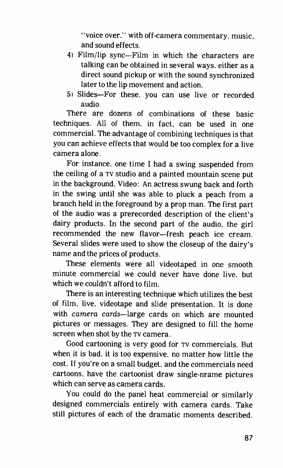"voice over." with off-camera commentary, music, and sound effects.

- 4) Film/lip sync—Film in which the characters are talking can be obtained in several ways, either as a direct sound pickup or with the sound synchronized later to the lip movement and action.
- 5) Slides—For these, you can use live or recorded audio.

There are dozens of combinations of these basic techniques. All of them, in fact, can be used in one commercial. The advantage of combining techniques is that you can achieve effects that would be too complex for a live camera alone.

For instance, one time I had a swing suspended from the ceiling of a TV studio and a painted mountain scene put in the background. Video: An actress swung back and forth in the swing until she was able to pluck a peach from a branch held in the foreground by a prop man. The first part of the audio was a prerecorded description of the client's dairy products. In the second part of the audio, the girl recommended the new flavor—fresh peach ice cream. Several slides were used to show the closeup of the dairy's name and the prices of products.

These elements were all videotaped in one smooth minute commercial we could never have done live, but which we couldn't afford to film.

There is an interesting technique which utilizes the best of film, live, videotape and slide presentation. It is done with camera cards—large cards on which are mounted pictures or messages. They are designed to fill the home screen when shot by the TV camera.

Good cartooning is very good for TV commercials. But when it is bad. it is too expensive, no matter how little the cost. If you're on a small budget, and the commercials need cartoons. have the cartoonist draw single-nrame pictures which can serve as camera cards.

You could do the panel heat commercial or similarly designed commercials entirely with camera cards. Take still pictures of each of the dramatic moments described.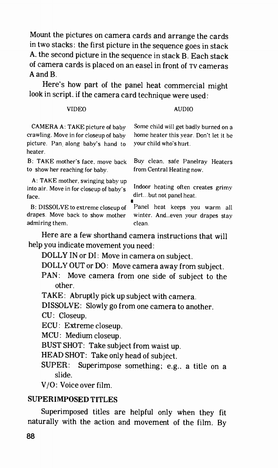Mount the pictures on camera cards and arrange the cards in two stacks: the first picture in the sequence goes in stack A. the second picture in the sequence in stack B. Each stack of camera cards is placed on an easel in front of TV cameras A and B.

Here's how part of the panel heat commercial might look in script, if the camera card technique were used:

#### VIDEO

### AUDIO

CAMERA A: TAKE picture of baby crawling. Move in for closeup of baby picture. Pan, along baby's hand to heater.

B: TAKE mother's face, move back to show her reaching for baby.

A: TAKE mother, swinging baby up into air. Move in for closeup of baby's face.

B: DISSOLVE to extreme closeup of drapes. Move back to show mother admiring them.

Some child will get badly burned on a home heater this year. Don't let it be your child who's hurt.

Buy clean. safe Panelray Heaters from Central Heating now.

Indoor heating often creates grimy dirt...but not panel heat.

Panel heat keeps you warm all winter. And. .even your drapes stay clean.

Here are a few shorthand camera instructions that will help you indicate movement you need:

DOLLY IN or DI: Move in camera on subject.

DOLLY OUT or DO: Move camera away from subject.

PAN: Move camera from one side of subject to the other.

TAKE: Abruptly pick up subject with camera.

DISSOLVE: Slowly go from one camera to another.

CU: Closeup.

ECU: Extreme closeup.

MCU: Medium closeup.

BUST SHOT: Take subject from waist up.

HEAD SHOT: Take only head of subject.

SUPER: Superimpose something: e.g.. a title on a slide.

V/O: Voice over film.

# SUPERIMPOSED TITLES

Superimposed titles are helpful only when they fit naturally with the action and movement of the film. By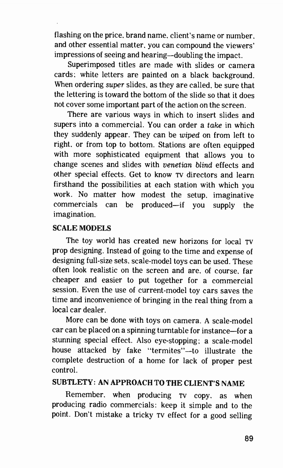flashing on the price, brand name, client's name or number. and other essential matter, you can compound the viewers' impressions of seeing and hearing—doubling the impact.

Superimposed titles are made with slides or camera cards: white letters are painted on a black background. When ordering super slides, as they are called, be sure that the lettering is toward the bottom of the slide so that it does not cover some important part of the action on the screen.

There are various ways in which to insert slides and supers into a commercial. You can order a take in which they suddenly appear. They can be wiped on from left to right, or from top to bottom. Stations are often equipped with more sophisticated equipment that allows you to change scenes and slides with venetian blind effects and other special effects. Get to know TV directors and learn firsthand the possibilities at each station with which you work. No matter how modest the setup. imaginative commercials can be produced—if you supply the imagination.

# SCALE MODELS

The toy world has created new horizons for local TV prop designing. Instead of going to the time and expense of designing full-size sets. scale-model toys can be used. These often look realistic on the screen and are, of course, far cheaper and easier to put together for a commercial session. Even the use of current-model toy cars saves the time and inconvenience of bringing in the real thing from a local car dealer.

More can be done with toys on camera. A scale-model car can be placed on a spinning turntable for instance—for a stunning special effect. Also eye-stopping; a scale-model house attacked by fake "termites"—to illustrate the complete destruction of a home for lack of proper pest control.

# SUBTLETY: AN APPROACH TO THE CLIENT'S NAME

Remember, when producing TV copy. as when producing radio commercials: keep it simple and to the point. Don't mistake a tricky TV effect for a good selling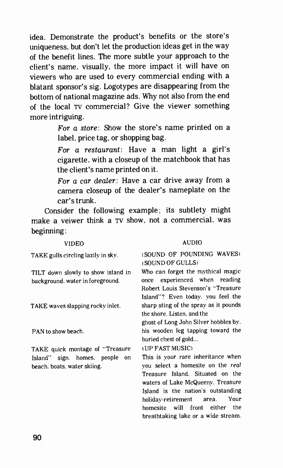idea. Demonstrate the product's benefits or the store's uniqueness, but don't let the production ideas get in the way of the benefit lines. The more subtle your approach to the client's name. visually, the more impact it will have on viewers who are used to every commercial ending with a blatant sponsor's sig. Logotypes are disappearing from the bottom of national magazine ads. Why not also from the end of the local TV commercial? Give the viewer something more intriguing.

> For a store: Show the store's name printed on a label, price tag, or shopping bag.

> For a restaurant: Have a man light a girl's cigarette, with a closeup of the matchbook that has the client's name printed on it.

> For a car dealer: Have a car drive away from a camera closeup of the dealer's nameplate on the car's trunk.

Consider the following example; its subtlety might make a veiwer think a TV show, not a commercial. was beginning:

TAKE gulls circling lazily in sky.

TILT down slowly to show island in background. water in foreground.

TAKE waves slapping rocky inlet.

PAN to show beach.

TAKE quick montage of "Treasure Island" sign. homes. people on beach, boats. water skiing.

#### VIDEO AUDIO

### (SOUND OF POUNDING WAVES) (SOUND OF GULLS)

Who can forget the mythical magic once experienced when reading Robert Louis Stevenson's "Treasure Island"? Even today. you feel the sharp sting of the spray as it pounds the shore. Listen. and the

ghost of Long John Silver hobbles by. his wooden leg tapping toward the buried chest of gold...

#### (UP FAST MUSIC)

This is your rare inheritance when you select a homesite on the real Treasure Island. Situated on the waters of Lake McQueeny. Treasure Island is the nation's outstanding holiday-retirement area. Your homesite will front either the breathtaking lake or a wide stream.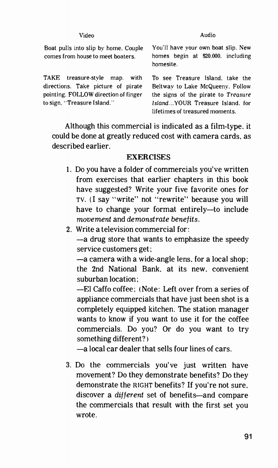#### video Audio

Boat pulls into slip by home. Couple comes from house to meet boaters.

TAKE treasure-style map. with directions. Take picture of pirate pointing. FOLLOW direction of finger to sign. "Treasure Island."

You'll have your own boat slip. New homes begin at \$20.000. including homesite.

To see Treasure Island. take the Beltway to Lake McQueeny. Follow the signs of the pirate to Treasure Island. . YOUR Treasure Island. for lifetimes of treasured moments.

Although this commercial is indicated as a film-type, it could be done at greatly reduced cost with camera cards, as described earlier.

### **EXERCISES**

- 1. Do you have a folder of commercials you've written from exercises that earlier chapters in this book have suggested? Write your five favorite ones for TV. (I say "write" not "rewrite" because you will have to change your format entirely—to include movement and demonstrate benefits.
- 2. Write a television commercial for:

—a drug store that wants to emphasize the speedy service customers get;

—a camera with a wide-angle lens, for a local shop ; the 2nd National Bank. at its new, convenient suburban location:

—El Caffo coffee; (Note: Left over from a series of appliance commercials that have just been shot is a completely equipped kitchen. The station manager wants to know if you want to use it for the coffee commercials. Do you? Or do you want to try something different? )

—a local car dealer that sells four lines of cars.

3. Do the commercials you've just written have movement? Do they demonstrate benefits? Do they demonstrate the RIGHT benefits? If you're not sure, discover a different set of benefits—and compare the commercials that result with the first set you wrote.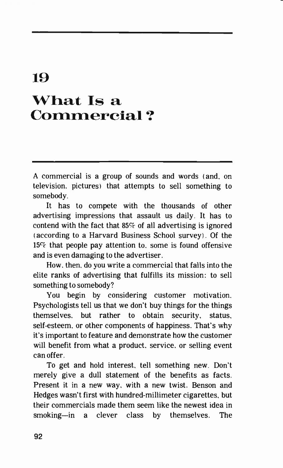# 19 What Is a Commercial ?

A commercial is a group of sounds and words (and, on television, pictures) that attempts to sell something to somebody.

It has to compete with the thousands of other advertising impressions that assault us daily. It has to contend with the fact that  $85\%$  of all advertising is ignored (according to a Harvard Business School survey). Of the 15% that people pay attention to, some is found offensive and is even damaging to the advertiser.

How, then, do you write a commercial that falls into the elite ranks of advertising that fulfills its mission: to sell something to somebody?

You begin by considering customer motivation. Psychologists tell us that we don't buy things for the things themselves, but rather to obtain security, status, self-esteem, or other components of happiness. That's why it's important to feature and demonstrate how the customer will benefit from what a product. service, or selling event can offer.

To get and hold interest, tell something new. Don't merely give a dull statement of the benefits as facts. Present it in a new way. with a new twist. Benson and Hedges wasn't first with hundred-millimeter cigarettes, but their commercials made them seem like the newest idea in smoking—in a clever class by themselves. The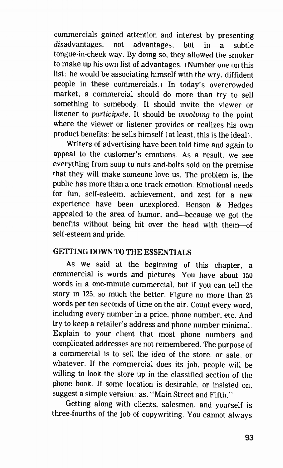commercials gained attention and interest by presenting disadvantages, not advantages, but in a subtle tongue-in-cheek way. By doing so, they allowed the smoker to make up his own list of advantages. (Number one on this list: he would be associating himself with the wry, diffident people in these commercials.) In today's overcrowded market, a commercial should do more than try to sell something to somebody. It should invite the viewer or listener to participate. It should be involving to the point where the viewer or listener provides or realizes his own product benefits: he sells himself ( at least, this is the ideal).

Writers of advertising have been told time and again to appeal to the customer's emotions. As a result, we see everything from soup to nuts-and-bolts sold on the premise that they will make someone love us. The problem is, the public has more than a one-track emotion. Emotional needs for fun, self-esteem, achievement, and zest for a new experience have been unexplored. Benson & Hedges appealed to the area of humor, and—because we got the benefits without being hit over the head with them—of self-esteem and pride.

# GETTING DOWN TO THE ESSENTIALS

As we said at the beginning of this chapter, a commercial is words and pictures. You have about 150 words in a one-minute commercial, but if you can tell the story in 125. so much the better. Figure no more than 25 words per ten seconds of time on the air. Count every word, including every number in a price, phone number, etc. And try to keep a retailer's address and phone number minimal. Explain to your client that most phone numbers and complicated addresses are not remembered. The purpose of a commercial is to sell the idea of the store, or sale, or whatever. If the commercial does its job, people will be willing to look the store up in the classified section of the phone book. If some location is desirable, or insisted on, suggest a simple version: as, "Main Street and Fifth."

Getting along with clients, salesmen, and yourself is three-fourths of the job of copywriting. You cannot always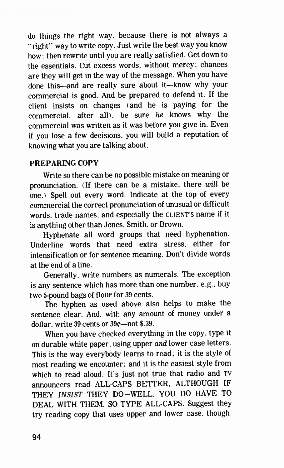do things the right way. because there is not always a "right" way to write copy. Just write the best way you know how; then rewrite until you are really satisfied. Get down to the essentials. Cut excess words, without mercy; chances are they will get in the way of the message. When you have done this—and are really sure about it—know why your commercial is good. And be prepared to defend it. If the client insists on changes (and he is paying for the commercial. after all). be sure he knows why the commercial was written as it was before you give in. Even if you lose a few decisions, you will build a reputation of knowing what you are talking about.

# PREPARING COPY

Write so there can be no possible mistake on meaning or pronunciation. (If there can be a mistake, there will be one.) Spell out every word. Indicate at the top of every commercial the correct pronunciation of unusual or difficult words. trade names. and especially the CLIENT'S name if it is anything other than Jones. Smith. or Brown.

Hyphenate all word groups that need hyphenation. Underline words that need extra stress, either for intensification or for sentence meaning. Don't divide words at the end of a line.

Generally, write numbers as numerals. The exception is any sentence which has more than one number, e.g., buy two 5-pound bags of flour for 39 cents.

The hyphen as used above also helps to make the sentence clear. And. with any amount of money under a dollar. write 39 cents or  $39e$ —not \$.39.

When you have checked everything in the copy, type it on durable white paper. using upper and lower case letters. This is the way everybody learns to read; it is the style of most reading we encounter; and it is the easiest style from which to read aloud. It's just not true that radio and TV announcers read ALL-CAPS BETTER, ALTHOUGH IF THEY INSIST THEY DO—WELL, YOU DO HAVE TO DEAL WITH THEM. SO TYPE ALL-CAPS. Suggest they try reading copy that uses upper and lower case, though.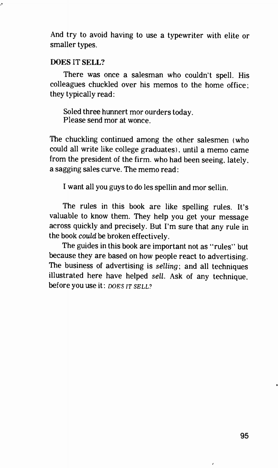And try to avoid having to use a typewriter with elite or smaller types.

# DOES IT SELL?

ð

There was once a salesman who couldn't spell. His colleagues chuckled over his memos to the home office; they typically read:

Soled three hunnert mor ourders today. Please send mor at wonce.

The chuckling continued among the other salesmen (who could all write like college graduates). until a memo came from the president of the firm. who had been seeing. lately, a sagging sales curve. The memo read:

I want all you guys to do les spellin and mor sellin.

The rules in this book are like spelling rules. It's valuable to know them. They help you get your message across quickly and precisely. But I'm sure that any rule in the book could be broken effectively.

The guides in this book are important not as "rules" but because they are based on how people react to advertising. The business of advertising is selling; and all techniques illustrated here have helped sell. Ask of any technique, before you use it: DOES IT SELL?